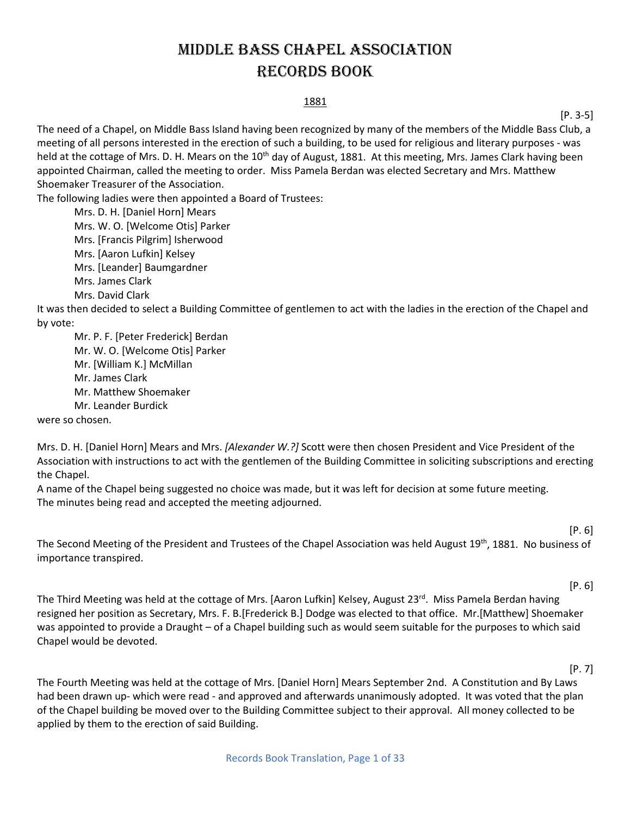# Middle bass chapel association Records Book

#### 1881

[P. 3-5]

The need of a Chapel, on Middle Bass Island having been recognized by many of the members of the Middle Bass Club, a meeting of all persons interested in the erection of such a building, to be used for religious and literary purposes - was held at the cottage of Mrs. D. H. Mears on the 10<sup>th</sup> day of August, 1881. At this meeting, Mrs. James Clark having been appointed Chairman, called the meeting to order. Miss Pamela Berdan was elected Secretary and Mrs. Matthew Shoemaker Treasurer of the Association.

The following ladies were then appointed a Board of Trustees:

Mrs. D. H. [Daniel Horn] Mears Mrs. W. O. [Welcome Otis] Parker Mrs. [Francis Pilgrim] Isherwood Mrs. [Aaron Lufkin] Kelsey Mrs. [Leander] Baumgardner Mrs. James Clark Mrs. David Clark

It was then decided to select a Building Committee of gentlemen to act with the ladies in the erection of the Chapel and by vote:

Mr. P. F. [Peter Frederick] Berdan Mr. W. O. [Welcome Otis] Parker Mr. [William K.] McMillan Mr. James Clark Mr. Matthew Shoemaker Mr. Leander Burdick were so chosen.

Mrs. D. H. [Daniel Horn] Mears and Mrs. *[Alexander W.?]* Scott were then chosen President and Vice President of the Association with instructions to act with the gentlemen of the Building Committee in soliciting subscriptions and erecting the Chapel.

A name of the Chapel being suggested no choice was made, but it was left for decision at some future meeting. The minutes being read and accepted the meeting adjourned.

[P. 6]

The Second Meeting of the President and Trustees of the Chapel Association was held August 19<sup>th</sup>, 1881. No business of importance transpired.

[P. 6]

The Third Meeting was held at the cottage of Mrs. [Aaron Lufkin] Kelsey, August 23<sup>rd</sup>. Miss Pamela Berdan having resigned her position as Secretary, Mrs. F. B.[Frederick B.] Dodge was elected to that office. Mr.[Matthew] Shoemaker was appointed to provide a Draught – of a Chapel building such as would seem suitable for the purposes to which said Chapel would be devoted.

[P. 7]

The Fourth Meeting was held at the cottage of Mrs. [Daniel Horn] Mears September 2nd. A Constitution and By Laws had been drawn up- which were read - and approved and afterwards unanimously adopted. It was voted that the plan of the Chapel building be moved over to the Building Committee subject to their approval. All money collected to be applied by them to the erection of said Building.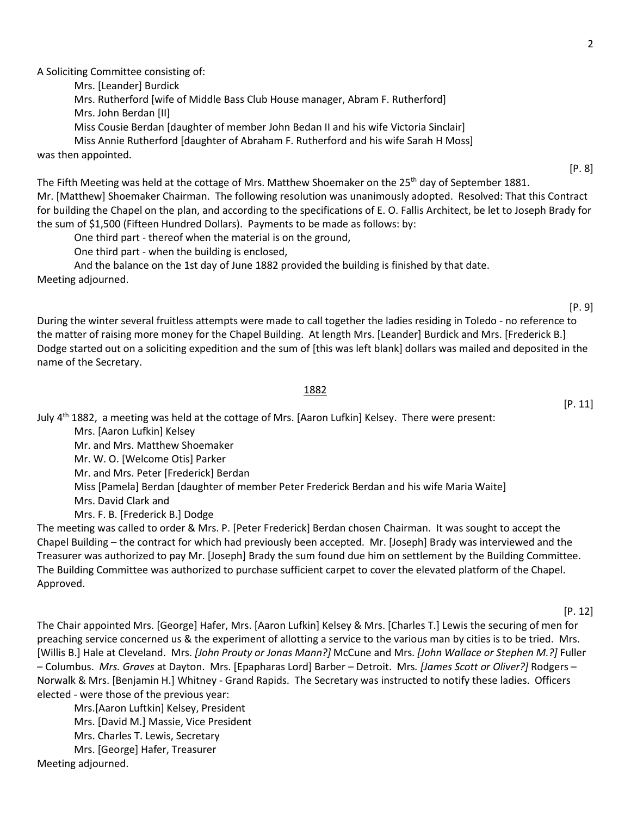A Soliciting Committee consisting of:

Mrs. [Leander] Burdick

Mrs. Rutherford [wife of Middle Bass Club House manager, Abram F. Rutherford]

Mrs. John Berdan [II]

Miss Cousie Berdan [daughter of member John Bedan II and his wife Victoria Sinclair]

Miss Annie Rutherford [daughter of Abraham F. Rutherford and his wife Sarah H Moss]

was then appointed.

The Fifth Meeting was held at the cottage of Mrs. Matthew Shoemaker on the 25<sup>th</sup> day of September 1881. Mr. [Matthew] Shoemaker Chairman. The following resolution was unanimously adopted. Resolved: That this Contract for building the Chapel on the plan, and according to the specifications of E. O. Fallis Architect, be let to Joseph Brady for the sum of \$1,500 (Fifteen Hundred Dollars). Payments to be made as follows: by:

One third part - thereof when the material is on the ground,

One third part - when the building is enclosed,

And the balance on the 1st day of June 1882 provided the building is finished by that date. Meeting adjourned.

During the winter several fruitless attempts were made to call together the ladies residing in Toledo - no reference to the matter of raising more money for the Chapel Building. At length Mrs. [Leander] Burdick and Mrs. [Frederick B.] Dodge started out on a soliciting expedition and the sum of [this was left blank] dollars was mailed and deposited in the name of the Secretary.

### 1882

July  $4<sup>th</sup>$  1882, a meeting was held at the cottage of Mrs. [Aaron Lufkin] Kelsey. There were present: Mrs. [Aaron Lufkin] Kelsey Mr. and Mrs. Matthew Shoemaker Mr. W. O. [Welcome Otis] Parker Mr. and Mrs. Peter [Frederick] Berdan Miss [Pamela] Berdan [daughter of member Peter Frederick Berdan and his wife Maria Waite] Mrs. David Clark and Mrs. F. B. [Frederick B.] Dodge

The meeting was called to order & Mrs. P. [Peter Frederick] Berdan chosen Chairman. It was sought to accept the Chapel Building – the contract for which had previously been accepted. Mr. [Joseph] Brady was interviewed and the Treasurer was authorized to pay Mr. [Joseph] Brady the sum found due him on settlement by the Building Committee. The Building Committee was authorized to purchase sufficient carpet to cover the elevated platform of the Chapel. Approved.

#### [P. 12]

The Chair appointed Mrs. [George] Hafer, Mrs. [Aaron Lufkin] Kelsey & Mrs. [Charles T.] Lewis the securing of men for preaching service concerned us & the experiment of allotting a service to the various man by cities is to be tried. Mrs. [Willis B.] Hale at Cleveland. Mrs. *[John Prouty or Jonas Mann?]* McCune and Mrs. *[John Wallace or Stephen M.?]* Fuller – Columbus. *Mrs. Graves* at Dayton. Mrs. [Epapharas Lord] Barber – Detroit. Mrs*. [James Scott or Oliver?]* Rodgers – Norwalk & Mrs. [Benjamin H.] Whitney - Grand Rapids. The Secretary was instructed to notify these ladies. Officers elected - were those of the previous year:

Mrs.[Aaron Luftkin] Kelsey, President Mrs. [David M.] Massie, Vice President Mrs. Charles T. Lewis, Secretary Mrs. [George] Hafer, Treasurer Meeting adjourned.

[P. 8]

[P. 11]

[P. 9]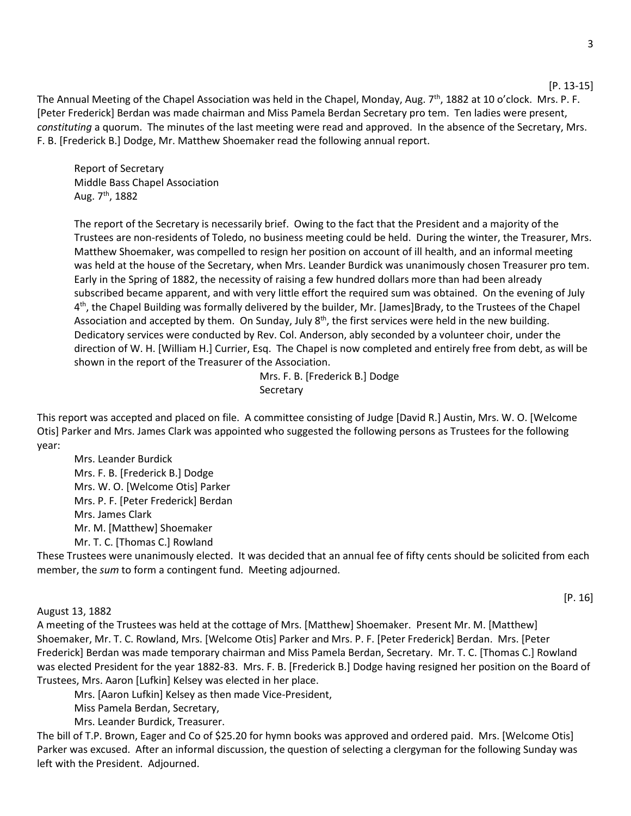The Annual Meeting of the Chapel Association was held in the Chapel, Monday, Aug. 7<sup>th</sup>, 1882 at 10 o'clock. Mrs. P. F. [Peter Frederick] Berdan was made chairman and Miss Pamela Berdan Secretary pro tem. Ten ladies were present, *constituting* a quorum. The minutes of the last meeting were read and approved. In the absence of the Secretary, Mrs. F. B. [Frederick B.] Dodge, Mr. Matthew Shoemaker read the following annual report.

Report of Secretary Middle Bass Chapel Association Aug.  $7<sup>th</sup>$ , 1882

The report of the Secretary is necessarily brief. Owing to the fact that the President and a majority of the Trustees are non-residents of Toledo, no business meeting could be held. During the winter, the Treasurer, Mrs. Matthew Shoemaker, was compelled to resign her position on account of ill health, and an informal meeting was held at the house of the Secretary, when Mrs. Leander Burdick was unanimously chosen Treasurer pro tem. Early in the Spring of 1882, the necessity of raising a few hundred dollars more than had been already subscribed became apparent, and with very little effort the required sum was obtained. On the evening of July 4th, the Chapel Building was formally delivered by the builder, Mr. [James]Brady, to the Trustees of the Chapel Association and accepted by them. On Sunday, July  $8<sup>th</sup>$ , the first services were held in the new building. Dedicatory services were conducted by Rev. Col. Anderson, ably seconded by a volunteer choir, under the direction of W. H. [William H.] Currier, Esq. The Chapel is now completed and entirely free from debt, as will be shown in the report of the Treasurer of the Association.

> Mrs. F. B. [Frederick B.] Dodge **Secretary**

This report was accepted and placed on file. A committee consisting of Judge [David R.] Austin, Mrs. W. O. [Welcome Otis] Parker and Mrs. James Clark was appointed who suggested the following persons as Trustees for the following year:

Mrs. Leander Burdick Mrs. F. B. [Frederick B.] Dodge Mrs. W. O. [Welcome Otis] Parker Mrs. P. F. [Peter Frederick] Berdan Mrs. James Clark Mr. M. [Matthew] Shoemaker Mr. T. C. [Thomas C.] Rowland

These Trustees were unanimously elected. It was decided that an annual fee of fifty cents should be solicited from each member, the *sum* to form a contingent fund. Meeting adjourned.

#### August 13, 1882

A meeting of the Trustees was held at the cottage of Mrs. [Matthew] Shoemaker. Present Mr. M. [Matthew] Shoemaker, Mr. T. C. Rowland, Mrs. [Welcome Otis] Parker and Mrs. P. F. [Peter Frederick] Berdan. Mrs. [Peter Frederick] Berdan was made temporary chairman and Miss Pamela Berdan, Secretary. Mr. T. C. [Thomas C.] Rowland was elected President for the year 1882-83. Mrs. F. B. [Frederick B.] Dodge having resigned her position on the Board of Trustees, Mrs. Aaron [Lufkin] Kelsey was elected in her place.

Mrs. [Aaron Lufkin] Kelsey as then made Vice-President,

Miss Pamela Berdan, Secretary,

Mrs. Leander Burdick, Treasurer.

The bill of T.P. Brown, Eager and Co of \$25.20 for hymn books was approved and ordered paid. Mrs. [Welcome Otis] Parker was excused. After an informal discussion, the question of selecting a clergyman for the following Sunday was left with the President. Adjourned.

[P. 13-15]

### [P. 16]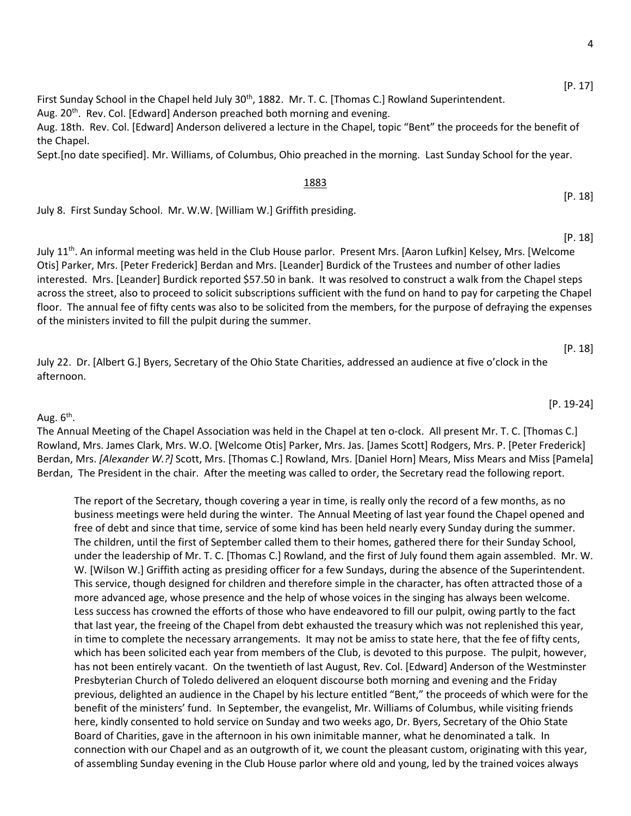[P. 17]

[P. 18]

[P. 18]

[P. 19-24]

[P. 18]

First Sunday School in the Chapel held July 30<sup>th</sup>, 1882. Mr. T. C. [Thomas C.] Rowland Superintendent. Aug. 20<sup>th</sup>. Rev. Col. [Edward] Anderson preached both morning and evening.

Aug. 18th. Rev. Col. [Edward] Anderson delivered a lecture in the Chapel, topic "Bent" the proceeds for the benefit of the Chapel.

Sept.[no date specified]. Mr. Williams, of Columbus, Ohio preached in the morning. Last Sunday School for the year.

#### 1883

July 8. First Sunday School. Mr. W.W. [William W.] Griffith presiding.

July 11th. An informal meeting was held in the Club House parlor. Present Mrs. [Aaron Lufkin] Kelsey, Mrs. [Welcome Otis] Parker, Mrs. [Peter Frederick] Berdan and Mrs. [Leander] Burdick of the Trustees and number of other ladies interested. Mrs. [Leander] Burdick reported \$57.50 in bank. It was resolved to construct a walk from the Chapel steps across the street, also to proceed to solicit subscriptions sufficient with the fund on hand to pay for carpeting the Chapel floor. The annual fee of fifty cents was also to be solicited from the members, for the purpose of defraying the expenses of the ministers invited to fill the pulpit during the summer.

July 22. Dr. [Albert G.] Byers, Secretary of the Ohio State Charities, addressed an audience at five o'clock in the afternoon.

Aug.  $6<sup>th</sup>$ .

The Annual Meeting of the Chapel Association was held in the Chapel at ten o-clock. All present Mr. T. C. [Thomas C.] Rowland, Mrs. James Clark, Mrs. W.O. [Welcome Otis] Parker, Mrs. Jas. [James Scott] Rodgers, Mrs. P. [Peter Frederick] Berdan, Mrs. *[Alexander W.?]* Scott, Mrs. [Thomas C.] Rowland, Mrs. [Daniel Horn] Mears, Miss Mears and Miss [Pamela] Berdan, The President in the chair. After the meeting was called to order, the Secretary read the following report.

The report of the Secretary, though covering a year in time, is really only the record of a few months, as no business meetings were held during the winter. The Annual Meeting of last year found the Chapel opened and free of debt and since that time, service of some kind has been held nearly every Sunday during the summer. The children, until the first of September called them to their homes, gathered there for their Sunday School, under the leadership of Mr. T. C. [Thomas C.] Rowland, and the first of July found them again assembled. Mr. W. W. [Wilson W.] Griffith acting as presiding officer for a few Sundays, during the absence of the Superintendent. This service, though designed for children and therefore simple in the character, has often attracted those of a more advanced age, whose presence and the help of whose voices in the singing has always been welcome. Less success has crowned the efforts of those who have endeavored to fill our pulpit, owing partly to the fact that last year, the freeing of the Chapel from debt exhausted the treasury which was not replenished this year, in time to complete the necessary arrangements. It may not be amiss to state here, that the fee of fifty cents, which has been solicited each year from members of the Club, is devoted to this purpose. The pulpit, however, has not been entirely vacant. On the twentieth of last August, Rev. Col. [Edward] Anderson of the Westminster Presbyterian Church of Toledo delivered an eloquent discourse both morning and evening and the Friday previous, delighted an audience in the Chapel by his lecture entitled "Bent," the proceeds of which were for the benefit of the ministers' fund. In September, the evangelist, Mr. Williams of Columbus, while visiting friends here, kindly consented to hold service on Sunday and two weeks ago, Dr. Byers, Secretary of the Ohio State Board of Charities, gave in the afternoon in his own inimitable manner, what he denominated a talk. In connection with our Chapel and as an outgrowth of it, we count the pleasant custom, originating with this year, of assembling Sunday evening in the Club House parlor where old and young, led by the trained voices always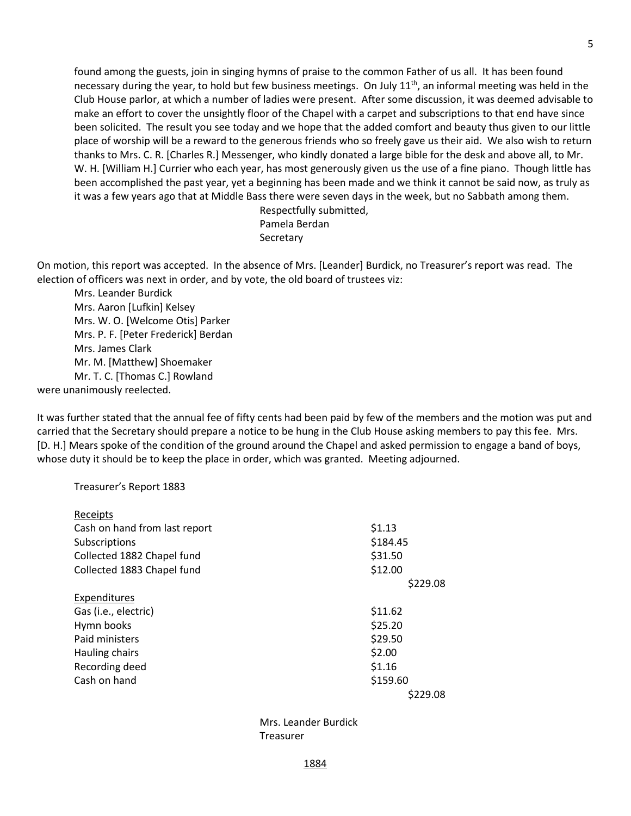found among the guests, join in singing hymns of praise to the common Father of us all. It has been found necessary during the year, to hold but few business meetings. On July 11<sup>th</sup>, an informal meeting was held in the Club House parlor, at which a number of ladies were present. After some discussion, it was deemed advisable to make an effort to cover the unsightly floor of the Chapel with a carpet and subscriptions to that end have since been solicited. The result you see today and we hope that the added comfort and beauty thus given to our little place of worship will be a reward to the generous friends who so freely gave us their aid. We also wish to return thanks to Mrs. C. R. [Charles R.] Messenger, who kindly donated a large bible for the desk and above all, to Mr. W. H. [William H.] Currier who each year, has most generously given us the use of a fine piano. Though little has been accomplished the past year, yet a beginning has been made and we think it cannot be said now, as truly as it was a few years ago that at Middle Bass there were seven days in the week, but no Sabbath among them.

> Respectfully submitted, Pamela Berdan **Secretary**

On motion, this report was accepted. In the absence of Mrs. [Leander] Burdick, no Treasurer's report was read. The election of officers was next in order, and by vote, the old board of trustees viz:

Mrs. Leander Burdick Mrs. Aaron [Lufkin] Kelsey Mrs. W. O. [Welcome Otis] Parker Mrs. P. F. [Peter Frederick] Berdan Mrs. James Clark Mr. M. [Matthew] Shoemaker Mr. T. C. [Thomas C.] Rowland were unanimously reelected.

It was further stated that the annual fee of fifty cents had been paid by few of the members and the motion was put and carried that the Secretary should prepare a notice to be hung in the Club House asking members to pay this fee. Mrs. [D. H.] Mears spoke of the condition of the ground around the Chapel and asked permission to engage a band of boys, whose duty it should be to keep the place in order, which was granted. Meeting adjourned.

Treasurer's Report 1883

| Receipts                      |          |
|-------------------------------|----------|
| Cash on hand from last report | \$1.13   |
| Subscriptions                 | \$184.45 |
| Collected 1882 Chapel fund    | \$31.50  |
| Collected 1883 Chapel fund    | \$12.00  |
|                               | \$229.08 |
| Expenditures                  |          |
| Gas (i.e., electric)          | \$11.62  |
| Hymn books                    | \$25.20  |
| Paid ministers                | \$29.50  |
| Hauling chairs                | \$2.00   |
| Recording deed                | \$1.16   |
| Cash on hand                  | \$159.60 |
|                               | \$229.08 |

Mrs. Leander Burdick Treasurer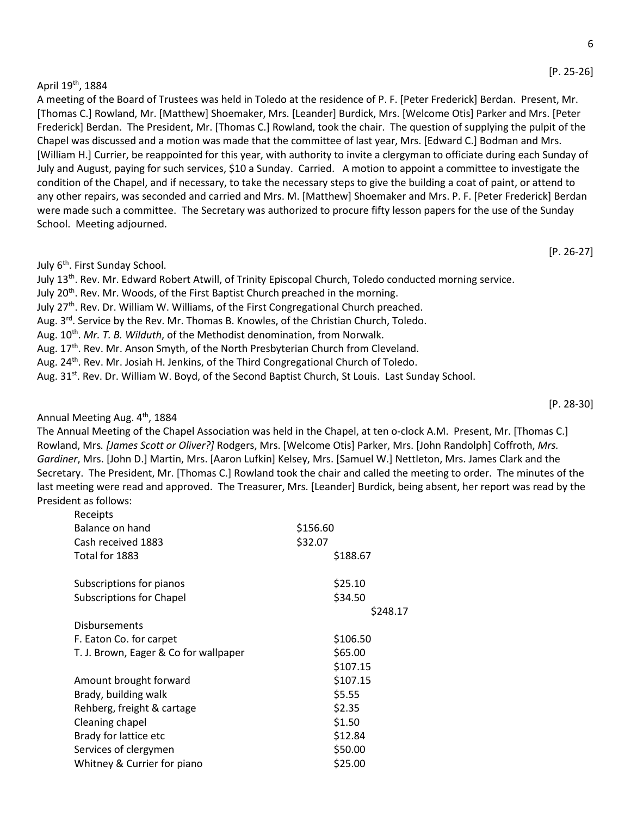### April 19th, 1884

A meeting of the Board of Trustees was held in Toledo at the residence of P. F. [Peter Frederick] Berdan. Present, Mr. [Thomas C.] Rowland, Mr. [Matthew] Shoemaker, Mrs. [Leander] Burdick, Mrs. [Welcome Otis] Parker and Mrs. [Peter Frederick] Berdan. The President, Mr. [Thomas C.] Rowland, took the chair. The question of supplying the pulpit of the Chapel was discussed and a motion was made that the committee of last year, Mrs. [Edward C.] Bodman and Mrs. [William H.] Currier, be reappointed for this year, with authority to invite a clergyman to officiate during each Sunday of July and August, paying for such services, \$10 a Sunday. Carried. A motion to appoint a committee to investigate the condition of the Chapel, and if necessary, to take the necessary steps to give the building a coat of paint, or attend to any other repairs, was seconded and carried and Mrs. M. [Matthew] Shoemaker and Mrs. P. F. [Peter Frederick] Berdan were made such a committee. The Secretary was authorized to procure fifty lesson papers for the use of the Sunday School. Meeting adjourned.

### July 6<sup>th</sup>. First Sunday School.

July 13th. Rev. Mr. Edward Robert Atwill, of Trinity Episcopal Church, Toledo conducted morning service.

- July 20<sup>th</sup>. Rev. Mr. Woods, of the First Baptist Church preached in the morning.
- July 27th. Rev. Dr. William W. Williams, of the First Congregational Church preached.
- Aug.  $3<sup>rd</sup>$ . Service by the Rev. Mr. Thomas B. Knowles, of the Christian Church, Toledo.
- Aug. 10th. *Mr. T. B. Wilduth*, of the Methodist denomination, from Norwalk.
- Aug. 17<sup>th</sup>. Rev. Mr. Anson Smyth, of the North Presbyterian Church from Cleveland.
- Aug. 24<sup>th</sup>. Rev. Mr. Josiah H. Jenkins, of the Third Congregational Church of Toledo.
- Aug. 31<sup>st</sup>. Rev. Dr. William W. Boyd, of the Second Baptist Church, St Louis. Last Sunday School.

### Annual Meeting Aug. 4<sup>th</sup>, 1884

The Annual Meeting of the Chapel Association was held in the Chapel, at ten o-clock A.M. Present, Mr. [Thomas C.] Rowland, Mrs*. [James Scott or Oliver?]* Rodgers, Mrs. [Welcome Otis] Parker, Mrs. [John Randolph] Coffroth, *Mrs. Gardiner*, Mrs. [John D.] Martin, Mrs. [Aaron Lufkin] Kelsey, Mrs. [Samuel W.] Nettleton, Mrs. James Clark and the Secretary. The President, Mr. [Thomas C.] Rowland took the chair and called the meeting to order. The minutes of the last meeting were read and approved. The Treasurer, Mrs. [Leander] Burdick, being absent, her report was read by the President as follows:

| Receipts                              |          |
|---------------------------------------|----------|
| Balance on hand                       | \$156.60 |
| Cash received 1883                    | \$32.07  |
| Total for 1883                        | \$188.67 |
| Subscriptions for pianos              | \$25.10  |
| <b>Subscriptions for Chapel</b>       | \$34.50  |
|                                       | \$248.17 |
| <b>Disbursements</b>                  |          |
| F. Eaton Co. for carpet               | \$106.50 |
| T. J. Brown, Eager & Co for wallpaper | \$65.00  |
|                                       | \$107.15 |
| Amount brought forward                | \$107.15 |
| Brady, building walk                  | \$5.55   |
| Rehberg, freight & cartage            | \$2.35   |
| Cleaning chapel                       | \$1.50   |
| Brady for lattice etc                 | \$12.84  |
| Services of clergymen                 | \$50.00  |
| Whitney & Currier for piano           | \$25.00  |
|                                       |          |

[P. 26-27]

[P. 28-30]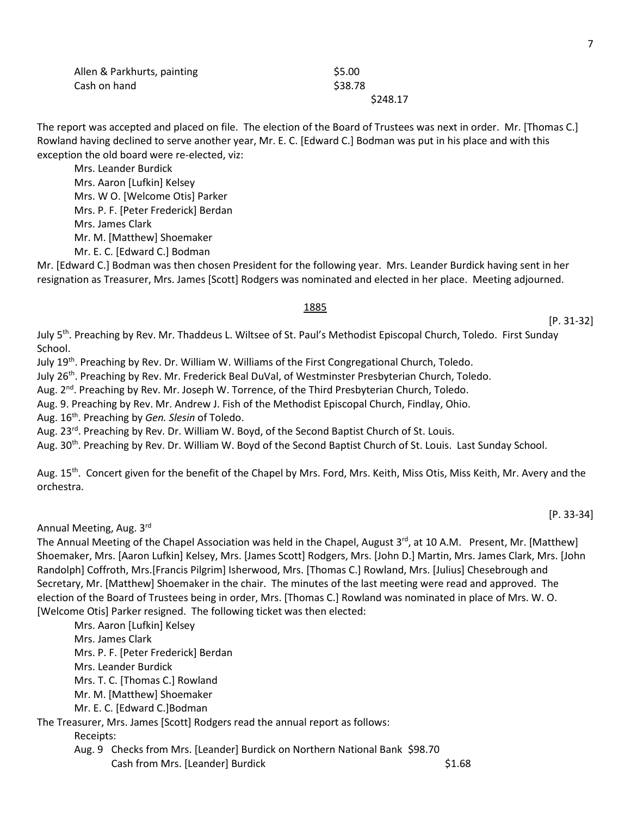| Allen & Parkhurts, painting | \$5.00   |
|-----------------------------|----------|
| Cash on hand                | \$38.78  |
|                             | \$248.17 |

The report was accepted and placed on file. The election of the Board of Trustees was next in order. Mr. [Thomas C.] Rowland having declined to serve another year, Mr. E. C. [Edward C.] Bodman was put in his place and with this exception the old board were re-elected, viz:

Mrs. Leander Burdick Mrs. Aaron [Lufkin] Kelsey Mrs. W O. [Welcome Otis] Parker Mrs. P. F. [Peter Frederick] Berdan Mrs. James Clark Mr. M. [Matthew] Shoemaker Mr. E. C. [Edward C.] Bodman

Mr. [Edward C.] Bodman was then chosen President for the following year. Mrs. Leander Burdick having sent in her resignation as Treasurer, Mrs. James [Scott] Rodgers was nominated and elected in her place. Meeting adjourned.

### 1885

July 5<sup>th</sup>. Preaching by Rev. Mr. Thaddeus L. Wiltsee of St. Paul's Methodist Episcopal Church, Toledo. First Sunday School.

July 19th. Preaching by Rev. Dr. William W. Williams of the First Congregational Church, Toledo.

July 26th. Preaching by Rev. Mr. Frederick Beal DuVal, of Westminster Presbyterian Church, Toledo.

Aug. 2<sup>nd</sup>. Preaching by Rev. Mr. Joseph W. Torrence, of the Third Presbyterian Church, Toledo.

Aug. 9. Preaching by Rev. Mr. Andrew J. Fish of the Methodist Episcopal Church, Findlay, Ohio.

Aug. 16th. Preaching by *Gen. Slesin* of Toledo.

Aug. 23<sup>rd</sup>. Preaching by Rev. Dr. William W. Boyd, of the Second Baptist Church of St. Louis.

Aug. 30<sup>th</sup>. Preaching by Rev. Dr. William W. Boyd of the Second Baptist Church of St. Louis. Last Sunday School.

Aug. 15<sup>th</sup>. Concert given for the benefit of the Chapel by Mrs. Ford, Mrs. Keith, Miss Otis, Miss Keith, Mr. Avery and the orchestra.

Annual Meeting, Aug. 3rd

The Annual Meeting of the Chapel Association was held in the Chapel, August  $3^{rd}$ , at 10 A.M. Present, Mr. [Matthew] Shoemaker, Mrs. [Aaron Lufkin] Kelsey, Mrs. [James Scott] Rodgers, Mrs. [John D.] Martin, Mrs. James Clark, Mrs. [John Randolph] Coffroth, Mrs.[Francis Pilgrim] Isherwood, Mrs. [Thomas C.] Rowland, Mrs. [Julius] Chesebrough and Secretary, Mr. [Matthew] Shoemaker in the chair. The minutes of the last meeting were read and approved. The election of the Board of Trustees being in order, Mrs. [Thomas C.] Rowland was nominated in place of Mrs. W. O. [Welcome Otis] Parker resigned. The following ticket was then elected:

Mrs. Aaron [Lufkin] Kelsey Mrs. James Clark Mrs. P. F. [Peter Frederick] Berdan Mrs. Leander Burdick Mrs. T. C. [Thomas C.] Rowland Mr. M. [Matthew] Shoemaker Mr. E. C. [Edward C.]Bodman

The Treasurer, Mrs. James [Scott] Rodgers read the annual report as follows:

Receipts:

Aug. 9 Checks from Mrs. [Leander] Burdick on Northern National Bank \$98.70 Cash from Mrs. [Leander] Burdick  $\sim$  \$1.68 [P. 31-32]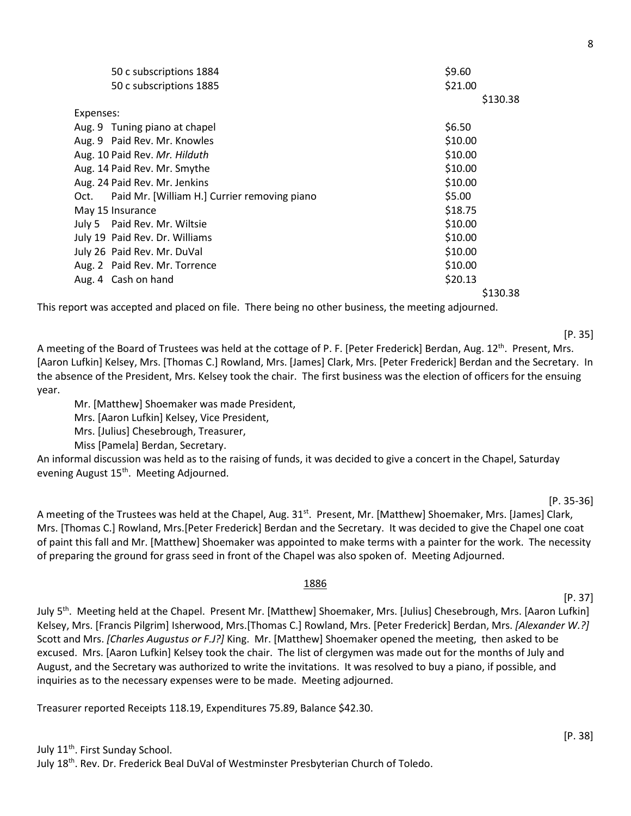|           | 50 c subscriptions 1884                      | \$9.60  |          |
|-----------|----------------------------------------------|---------|----------|
|           | 50 c subscriptions 1885                      | \$21.00 |          |
|           |                                              |         | \$130.38 |
| Expenses: |                                              |         |          |
|           | Aug. 9 Tuning piano at chapel                | \$6.50  |          |
|           | Aug. 9 Paid Rev. Mr. Knowles                 | \$10.00 |          |
|           | Aug. 10 Paid Rev. Mr. Hilduth                | \$10.00 |          |
|           | Aug. 14 Paid Rev. Mr. Smythe                 | \$10.00 |          |
|           | Aug. 24 Paid Rev. Mr. Jenkins                | \$10.00 |          |
| Oct.      | Paid Mr. [William H.] Currier removing piano | \$5.00  |          |
|           | May 15 Insurance                             | \$18.75 |          |
|           | July 5 Paid Rev. Mr. Wiltsie                 | \$10.00 |          |
|           | July 19 Paid Rev. Dr. Williams               | \$10.00 |          |
|           | July 26 Paid Rev. Mr. DuVal                  | \$10.00 |          |
|           | Aug. 2 Paid Rev. Mr. Torrence                | \$10.00 |          |
|           | Aug. 4 Cash on hand                          | \$20.13 |          |
|           |                                              |         | \$130.38 |

This report was accepted and placed on file. There being no other business, the meeting adjourned.

A meeting of the Board of Trustees was held at the cottage of P. F. [Peter Frederick] Berdan, Aug. 12<sup>th</sup>. Present, Mrs. [Aaron Lufkin] Kelsey, Mrs. [Thomas C.] Rowland, Mrs. [James] Clark, Mrs. [Peter Frederick] Berdan and the Secretary. In the absence of the President, Mrs. Kelsey took the chair. The first business was the election of officers for the ensuing year.

Mr. [Matthew] Shoemaker was made President,

Mrs. [Aaron Lufkin] Kelsey, Vice President,

Mrs. [Julius] Chesebrough, Treasurer,

Miss [Pamela] Berdan, Secretary.

An informal discussion was held as to the raising of funds, it was decided to give a concert in the Chapel, Saturday evening August 15<sup>th</sup>. Meeting Adjourned.

A meeting of the Trustees was held at the Chapel, Aug. 31<sup>st</sup>. Present, Mr. [Matthew] Shoemaker, Mrs. [James] Clark, Mrs. [Thomas C.] Rowland, Mrs.[Peter Frederick] Berdan and the Secretary. It was decided to give the Chapel one coat of paint this fall and Mr. [Matthew] Shoemaker was appointed to make terms with a painter for the work. The necessity of preparing the ground for grass seed in front of the Chapel was also spoken of. Meeting Adjourned.

### 1886

July 5<sup>th</sup>. Meeting held at the Chapel. Present Mr. [Matthew] Shoemaker, Mrs. [Julius] Chesebrough, Mrs. [Aaron Lufkin] Kelsey, Mrs. [Francis Pilgrim] Isherwood, Mrs.[Thomas C.] Rowland, Mrs. [Peter Frederick] Berdan, Mrs. *[Alexander W.?]* Scott and Mrs. *[Charles Augustus or F.J?]* King. Mr. [Matthew] Shoemaker opened the meeting, then asked to be excused. Mrs. [Aaron Lufkin] Kelsey took the chair. The list of clergymen was made out for the months of July and August, and the Secretary was authorized to write the invitations. It was resolved to buy a piano, if possible, and inquiries as to the necessary expenses were to be made. Meeting adjourned.

Treasurer reported Receipts 118.19, Expenditures 75.89, Balance \$42.30.

[P. 37]

[P. 38]

[P. 35-36]

[P. 35]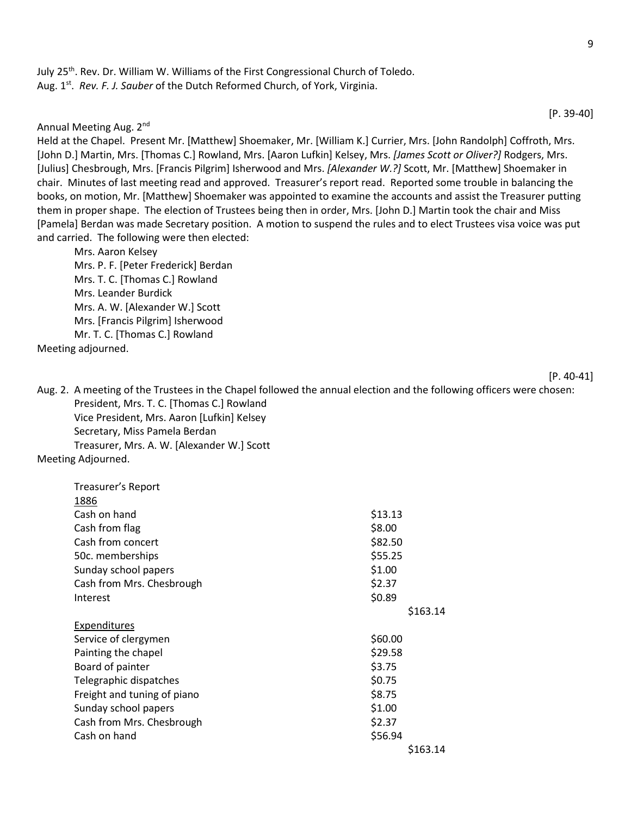July 25th. Rev. Dr. William W. Williams of the First Congressional Church of Toledo. Aug. 1<sup>st</sup>. Rev. F. J. Sauber of the Dutch Reformed Church, of York, Virginia.

Annual Meeting Aug. 2nd

Held at the Chapel. Present Mr. [Matthew] Shoemaker, Mr. [William K.] Currier, Mrs. [John Randolph] Coffroth, Mrs. [John D.] Martin, Mrs. [Thomas C.] Rowland, Mrs. [Aaron Lufkin] Kelsey, Mrs. *[James Scott or Oliver?]* Rodgers, Mrs. [Julius] Chesbrough, Mrs. [Francis Pilgrim] Isherwood and Mrs. *[Alexander W.?]* Scott, Mr. [Matthew] Shoemaker in chair. Minutes of last meeting read and approved. Treasurer's report read. Reported some trouble in balancing the books, on motion, Mr. [Matthew] Shoemaker was appointed to examine the accounts and assist the Treasurer putting them in proper shape. The election of Trustees being then in order, Mrs. [John D.] Martin took the chair and Miss [Pamela] Berdan was made Secretary position. A motion to suspend the rules and to elect Trustees visa voice was put and carried. The following were then elected:

Mrs. Aaron Kelsey Mrs. P. F. [Peter Frederick] Berdan Mrs. T. C. [Thomas C.] Rowland Mrs. Leander Burdick Mrs. A. W. [Alexander W.] Scott Mrs. [Francis Pilgrim] Isherwood Mr. T. C. [Thomas C.] Rowland

Meeting adjourned.

[P. 40-41]

Aug. 2. A meeting of the Trustees in the Chapel followed the annual election and the following officers were chosen: President, Mrs. T. C. [Thomas C.] Rowland Vice President, Mrs. Aaron [Lufkin] Kelsey Secretary, Miss Pamela Berdan Treasurer, Mrs. A. W. [Alexander W.] Scott

Meeting Adjourned.

| Treasurer's Report          |          |
|-----------------------------|----------|
| 1886                        |          |
| Cash on hand                | \$13.13  |
| Cash from flag              | \$8.00   |
| Cash from concert           | \$82.50  |
| 50c. memberships            | \$55.25  |
| Sunday school papers        | \$1.00   |
| Cash from Mrs. Chesbrough   | \$2.37   |
| Interest                    | \$0.89   |
|                             | \$163.14 |
| <b>Expenditures</b>         |          |
| Service of clergymen        | \$60.00  |
| Painting the chapel         | \$29.58  |
| Board of painter            | \$3.75   |
| Telegraphic dispatches      | \$0.75   |
| Freight and tuning of piano | \$8.75   |
| Sunday school papers        | \$1.00   |
| Cash from Mrs. Chesbrough   | \$2.37   |
| Cash on hand                | \$56.94  |
|                             | \$163.14 |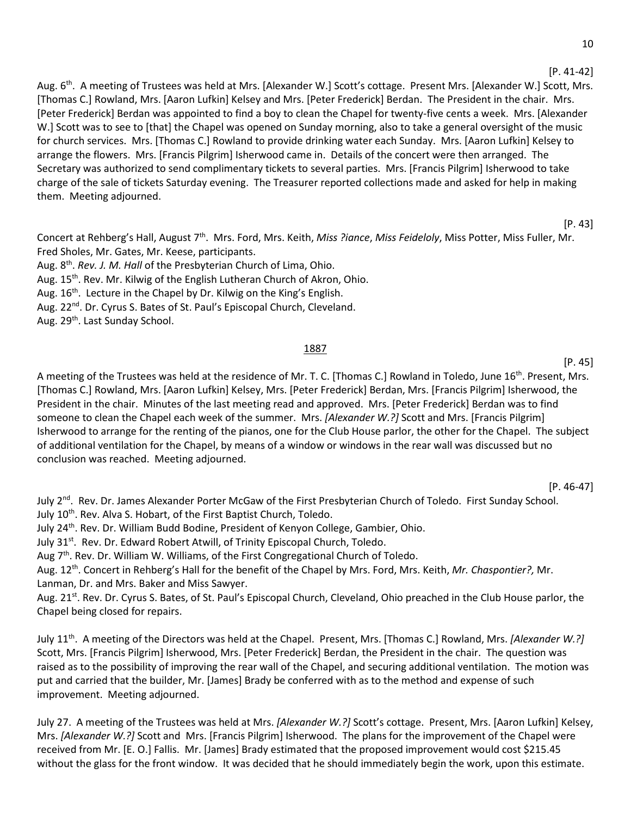[P. 41-42]

Aug. 6<sup>th</sup>. A meeting of Trustees was held at Mrs. [Alexander W.] Scott's cottage. Present Mrs. [Alexander W.] Scott, Mrs. [Thomas C.] Rowland, Mrs. [Aaron Lufkin] Kelsey and Mrs. [Peter Frederick] Berdan. The President in the chair. Mrs. [Peter Frederick] Berdan was appointed to find a boy to clean the Chapel for twenty-five cents a week. Mrs. [Alexander W.] Scott was to see to [that] the Chapel was opened on Sunday morning, also to take a general oversight of the music for church services. Mrs. [Thomas C.] Rowland to provide drinking water each Sunday. Mrs. [Aaron Lufkin] Kelsey to arrange the flowers. Mrs. [Francis Pilgrim] Isherwood came in. Details of the concert were then arranged. The Secretary was authorized to send complimentary tickets to several parties. Mrs. [Francis Pilgrim] Isherwood to take charge of the sale of tickets Saturday evening. The Treasurer reported collections made and asked for help in making them. Meeting adjourned.

[P. 43]

Concert at Rehberg's Hall, August 7th. Mrs. Ford, Mrs. Keith, *Miss ?iance*, *Miss Feideloly*, Miss Potter, Miss Fuller, Mr. Fred Sholes, Mr. Gates, Mr. Keese, participants.

Aug. 8th. *Rev. J. M. Hall* of the Presbyterian Church of Lima, Ohio.

Aug. 15<sup>th</sup>. Rev. Mr. Kilwig of the English Lutheran Church of Akron, Ohio.

Aug. 16<sup>th</sup>. Lecture in the Chapel by Dr. Kilwig on the King's English.

Aug. 22<sup>nd</sup>. Dr. Cyrus S. Bates of St. Paul's Episcopal Church, Cleveland.

Aug. 29<sup>th</sup>. Last Sunday School.

### 1887

[P. 45]

A meeting of the Trustees was held at the residence of Mr. T. C. [Thomas C.] Rowland in Toledo, June 16<sup>th</sup>. Present, Mrs. [Thomas C.] Rowland, Mrs. [Aaron Lufkin] Kelsey, Mrs. [Peter Frederick] Berdan, Mrs. [Francis Pilgrim] Isherwood, the President in the chair. Minutes of the last meeting read and approved. Mrs. [Peter Frederick] Berdan was to find someone to clean the Chapel each week of the summer. Mrs. *[Alexander W.?]* Scott and Mrs. [Francis Pilgrim] Isherwood to arrange for the renting of the pianos, one for the Club House parlor, the other for the Chapel. The subject of additional ventilation for the Chapel, by means of a window or windows in the rear wall was discussed but no conclusion was reached. Meeting adjourned.

[P. 46-47]

July 2<sup>nd</sup>. Rev. Dr. James Alexander Porter McGaw of the First Presbyterian Church of Toledo. First Sunday School. July 10<sup>th</sup>. Rev. Alva S. Hobart, of the First Baptist Church, Toledo.

July 24th. Rev. Dr. William Budd Bodine, President of Kenyon College, Gambier, Ohio.

July 31<sup>st</sup>. Rev. Dr. Edward Robert Atwill, of Trinity Episcopal Church, Toledo.

Aug  $7<sup>th</sup>$ . Rev. Dr. William W. Williams, of the First Congregational Church of Toledo.

Aug. 12th. Concert in Rehberg's Hall for the benefit of the Chapel by Mrs. Ford, Mrs. Keith, *Mr. Chaspontier?,* Mr. Lanman, Dr. and Mrs. Baker and Miss Sawyer.

Aug. 21<sup>st</sup>. Rev. Dr. Cyrus S. Bates, of St. Paul's Episcopal Church, Cleveland, Ohio preached in the Club House parlor, the Chapel being closed for repairs.

July 11th. A meeting of the Directors was held at the Chapel. Present, Mrs. [Thomas C.] Rowland, Mrs. *[Alexander W.?]* Scott, Mrs. [Francis Pilgrim] Isherwood, Mrs. [Peter Frederick] Berdan, the President in the chair. The question was raised as to the possibility of improving the rear wall of the Chapel, and securing additional ventilation. The motion was put and carried that the builder, Mr. [James] Brady be conferred with as to the method and expense of such improvement. Meeting adjourned.

July 27. A meeting of the Trustees was held at Mrs. *[Alexander W.?]* Scott's cottage. Present, Mrs. [Aaron Lufkin] Kelsey, Mrs. *[Alexander W.?]* Scott and Mrs. [Francis Pilgrim] Isherwood. The plans for the improvement of the Chapel were received from Mr. [E. O.] Fallis. Mr. [James] Brady estimated that the proposed improvement would cost \$215.45 without the glass for the front window. It was decided that he should immediately begin the work, upon this estimate.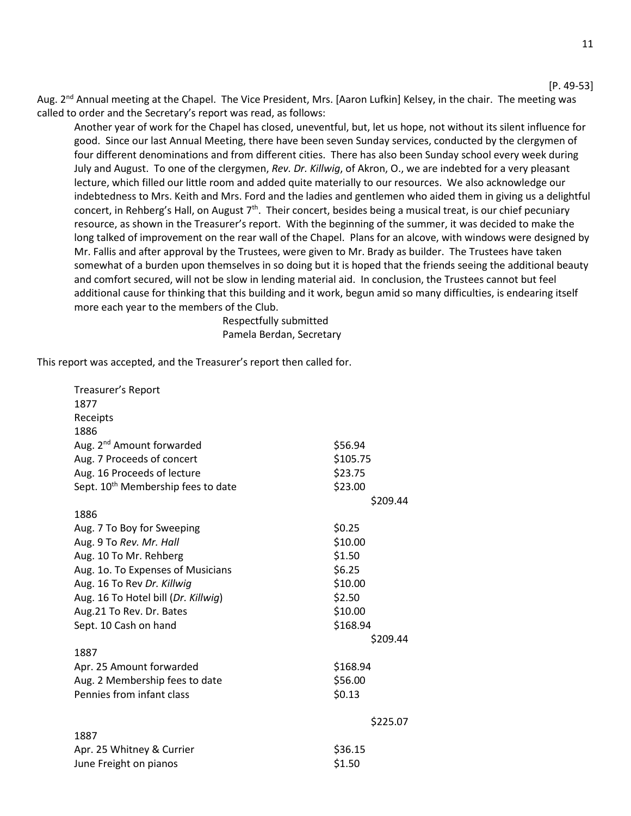[P. 49-53]

Aug. 2<sup>nd</sup> Annual meeting at the Chapel. The Vice President, Mrs. [Aaron Lufkin] Kelsey, in the chair. The meeting was called to order and the Secretary's report was read, as follows:

Another year of work for the Chapel has closed, uneventful, but, let us hope, not without its silent influence for good. Since our last Annual Meeting, there have been seven Sunday services, conducted by the clergymen of four different denominations and from different cities. There has also been Sunday school every week during July and August. To one of the clergymen, *Rev. Dr. Killwig*, of Akron, O., we are indebted for a very pleasant lecture, which filled our little room and added quite materially to our resources. We also acknowledge our indebtedness to Mrs. Keith and Mrs. Ford and the ladies and gentlemen who aided them in giving us a delightful concert, in Rehberg's Hall, on August  $7<sup>th</sup>$ . Their concert, besides being a musical treat, is our chief pecuniary resource, as shown in the Treasurer's report. With the beginning of the summer, it was decided to make the long talked of improvement on the rear wall of the Chapel. Plans for an alcove, with windows were designed by Mr. Fallis and after approval by the Trustees, were given to Mr. Brady as builder. The Trustees have taken somewhat of a burden upon themselves in so doing but it is hoped that the friends seeing the additional beauty and comfort secured, will not be slow in lending material aid. In conclusion, the Trustees cannot but feel additional cause for thinking that this building and it work, begun amid so many difficulties, is endearing itself more each year to the members of the Club.

> Respectfully submitted Pamela Berdan, Secretary

This report was accepted, and the Treasurer's report then called for.

| Treasurer's Report                             |          |
|------------------------------------------------|----------|
| 1877                                           |          |
| Receipts                                       |          |
| 1886                                           |          |
| Aug. 2 <sup>nd</sup> Amount forwarded          | \$56.94  |
| Aug. 7 Proceeds of concert                     | \$105.75 |
| Aug. 16 Proceeds of lecture                    | \$23.75  |
| Sept. 10 <sup>th</sup> Membership fees to date | \$23.00  |
|                                                | \$209.44 |
| 1886                                           |          |
| Aug. 7 To Boy for Sweeping                     | \$0.25   |
| Aug. 9 To Rev. Mr. Hall                        | \$10.00  |
| Aug. 10 To Mr. Rehberg                         | \$1.50   |
| Aug. 10. To Expenses of Musicians              | \$6.25   |
| Aug. 16 To Rev Dr. Killwig                     | \$10.00  |
| Aug. 16 To Hotel bill (Dr. Killwig)            | \$2.50   |
| Aug.21 To Rev. Dr. Bates                       | \$10.00  |
| Sept. 10 Cash on hand                          | \$168.94 |
|                                                | \$209.44 |
| 1887                                           |          |
| Apr. 25 Amount forwarded                       | \$168.94 |
| Aug. 2 Membership fees to date                 | \$56.00  |
| Pennies from infant class                      | \$0.13   |
|                                                | \$225.07 |
| 1887                                           |          |
| Apr. 25 Whitney & Currier                      | \$36.15  |
| June Freight on pianos                         | \$1.50   |
|                                                |          |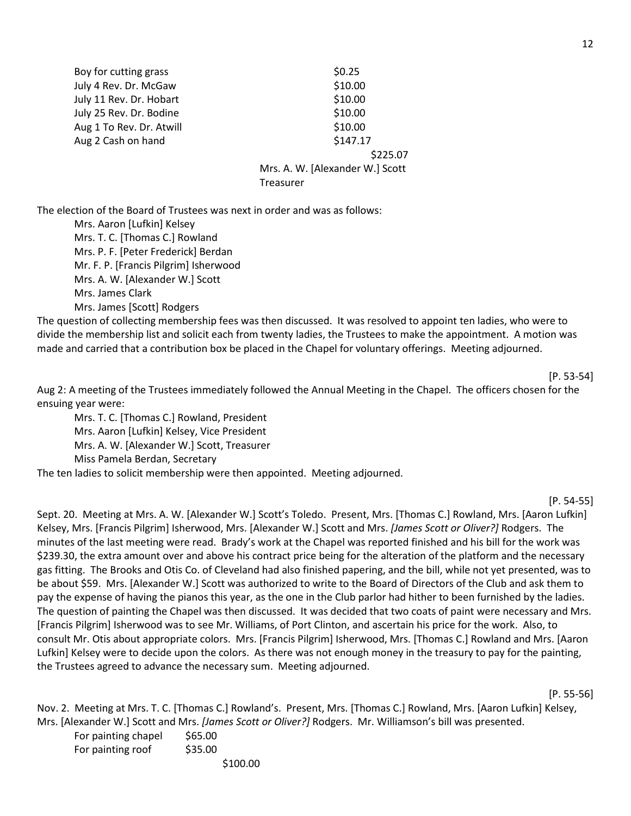| \$0.25                          |
|---------------------------------|
| \$10.00                         |
| \$10.00                         |
| \$10.00                         |
| \$10.00                         |
| \$147.17                        |
| \$225.07                        |
| Mrs. A. W. [Alexander W.] Scott |
| Treasurer                       |
|                                 |

The election of the Board of Trustees was next in order and was as follows:

Mrs. Aaron [Lufkin] Kelsey Mrs. T. C. [Thomas C.] Rowland Mrs. P. F. [Peter Frederick] Berdan Mr. F. P. [Francis Pilgrim] Isherwood Mrs. A. W. [Alexander W.] Scott Mrs. James Clark Mrs. James [Scott] Rodgers

The question of collecting membership fees was then discussed. It was resolved to appoint ten ladies, who were to divide the membership list and solicit each from twenty ladies, the Trustees to make the appointment. A motion was made and carried that a contribution box be placed in the Chapel for voluntary offerings. Meeting adjourned.

[P. 53-54]

Aug 2: A meeting of the Trustees immediately followed the Annual Meeting in the Chapel. The officers chosen for the ensuing year were:

Mrs. T. C. [Thomas C.] Rowland, President Mrs. Aaron [Lufkin] Kelsey, Vice President Mrs. A. W. [Alexander W.] Scott, Treasurer Miss Pamela Berdan, Secretary

The ten ladies to solicit membership were then appointed. Meeting adjourned.

[P. 54-55]

Sept. 20. Meeting at Mrs. A. W. [Alexander W.] Scott's Toledo. Present, Mrs. [Thomas C.] Rowland, Mrs. [Aaron Lufkin] Kelsey, Mrs. [Francis Pilgrim] Isherwood, Mrs. [Alexander W.] Scott and Mrs. *[James Scott or Oliver?]* Rodgers. The minutes of the last meeting were read. Brady's work at the Chapel was reported finished and his bill for the work was \$239.30, the extra amount over and above his contract price being for the alteration of the platform and the necessary gas fitting. The Brooks and Otis Co. of Cleveland had also finished papering, and the bill, while not yet presented, was to be about \$59. Mrs. [Alexander W.] Scott was authorized to write to the Board of Directors of the Club and ask them to pay the expense of having the pianos this year, as the one in the Club parlor had hither to been furnished by the ladies. The question of painting the Chapel was then discussed. It was decided that two coats of paint were necessary and Mrs. [Francis Pilgrim] Isherwood was to see Mr. Williams, of Port Clinton, and ascertain his price for the work. Also, to consult Mr. Otis about appropriate colors. Mrs. [Francis Pilgrim] Isherwood, Mrs. [Thomas C.] Rowland and Mrs. [Aaron Lufkin] Kelsey were to decide upon the colors. As there was not enough money in the treasury to pay for the painting, the Trustees agreed to advance the necessary sum. Meeting adjourned.

[P. 55-56]

Nov. 2. Meeting at Mrs. T. C. [Thomas C.] Rowland's. Present, Mrs. [Thomas C.] Rowland, Mrs. [Aaron Lufkin] Kelsey, Mrs. [Alexander W.] Scott and Mrs. *[James Scott or Oliver?]* Rodgers. Mr. Williamson's bill was presented.

| For painting chapel | \$65.00 |          |
|---------------------|---------|----------|
| For painting roof   | \$35.00 |          |
|                     |         | \$100.00 |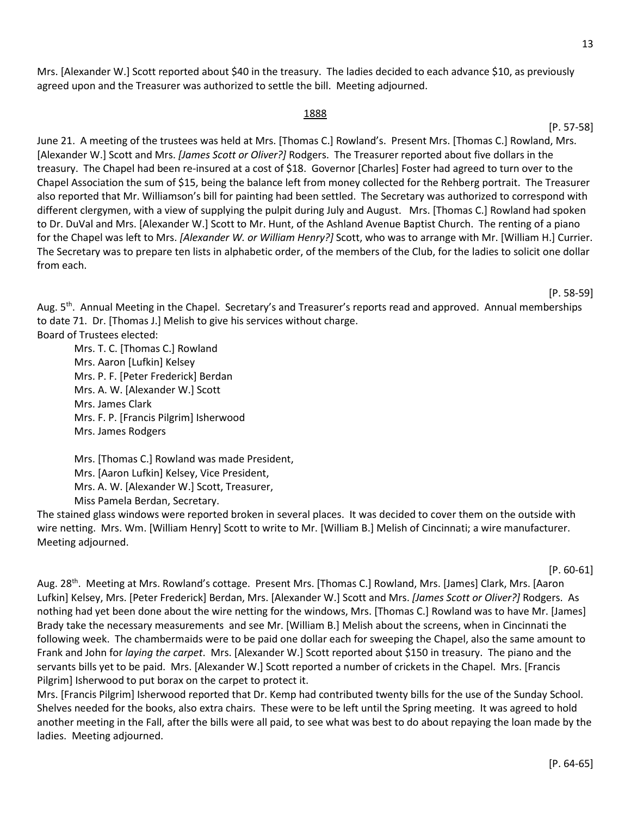Mrs. [Alexander W.] Scott reported about \$40 in the treasury. The ladies decided to each advance \$10, as previously agreed upon and the Treasurer was authorized to settle the bill. Meeting adjourned.

#### 1888

June 21. A meeting of the trustees was held at Mrs. [Thomas C.] Rowland's. Present Mrs. [Thomas C.] Rowland, Mrs. [Alexander W.] Scott and Mrs. *[James Scott or Oliver?]* Rodgers. The Treasurer reported about five dollars in the treasury. The Chapel had been re-insured at a cost of \$18. Governor [Charles] Foster had agreed to turn over to the Chapel Association the sum of \$15, being the balance left from money collected for the Rehberg portrait. The Treasurer also reported that Mr. Williamson's bill for painting had been settled. The Secretary was authorized to correspond with different clergymen, with a view of supplying the pulpit during July and August. Mrs. [Thomas C.] Rowland had spoken to Dr. DuVal and Mrs. [Alexander W.] Scott to Mr. Hunt, of the Ashland Avenue Baptist Church. The renting of a piano for the Chapel was left to Mrs. *[Alexander W. or William Henry?]* Scott, who was to arrange with Mr. [William H.] Currier. The Secretary was to prepare ten lists in alphabetic order, of the members of the Club, for the ladies to solicit one dollar from each.

Aug. 5<sup>th</sup>. Annual Meeting in the Chapel. Secretary's and Treasurer's reports read and approved. Annual memberships to date 71. Dr. [Thomas J.] Melish to give his services without charge. Board of Trustees elected:

Mrs. T. C. [Thomas C.] Rowland Mrs. Aaron [Lufkin] Kelsey Mrs. P. F. [Peter Frederick] Berdan Mrs. A. W. [Alexander W.] Scott Mrs. James Clark Mrs. F. P. [Francis Pilgrim] Isherwood Mrs. James Rodgers

Mrs. [Thomas C.] Rowland was made President, Mrs. [Aaron Lufkin] Kelsey, Vice President, Mrs. A. W. [Alexander W.] Scott, Treasurer, Miss Pamela Berdan, Secretary.

The stained glass windows were reported broken in several places. It was decided to cover them on the outside with wire netting. Mrs. Wm. [William Henry] Scott to write to Mr. [William B.] Melish of Cincinnati; a wire manufacturer. Meeting adjourned.

[P. 60-61]

Aug. 28<sup>th</sup>. Meeting at Mrs. Rowland's cottage. Present Mrs. [Thomas C.] Rowland, Mrs. [James] Clark, Mrs. [Aaron Lufkin] Kelsey, Mrs. [Peter Frederick] Berdan, Mrs. [Alexander W.] Scott and Mrs. *[James Scott or Oliver?]* Rodgers. As nothing had yet been done about the wire netting for the windows, Mrs. [Thomas C.] Rowland was to have Mr. [James] Brady take the necessary measurements and see Mr. [William B.] Melish about the screens, when in Cincinnati the following week. The chambermaids were to be paid one dollar each for sweeping the Chapel, also the same amount to Frank and John for *laying the carpet*. Mrs. [Alexander W.] Scott reported about \$150 in treasury. The piano and the servants bills yet to be paid. Mrs. [Alexander W.] Scott reported a number of crickets in the Chapel. Mrs. [Francis Pilgrim] Isherwood to put borax on the carpet to protect it.

Mrs. [Francis Pilgrim] Isherwood reported that Dr. Kemp had contributed twenty bills for the use of the Sunday School. Shelves needed for the books, also extra chairs. These were to be left until the Spring meeting. It was agreed to hold another meeting in the Fall, after the bills were all paid, to see what was best to do about repaying the loan made by the ladies. Meeting adjourned.

#### [P. 57-58]

[P. 58-59]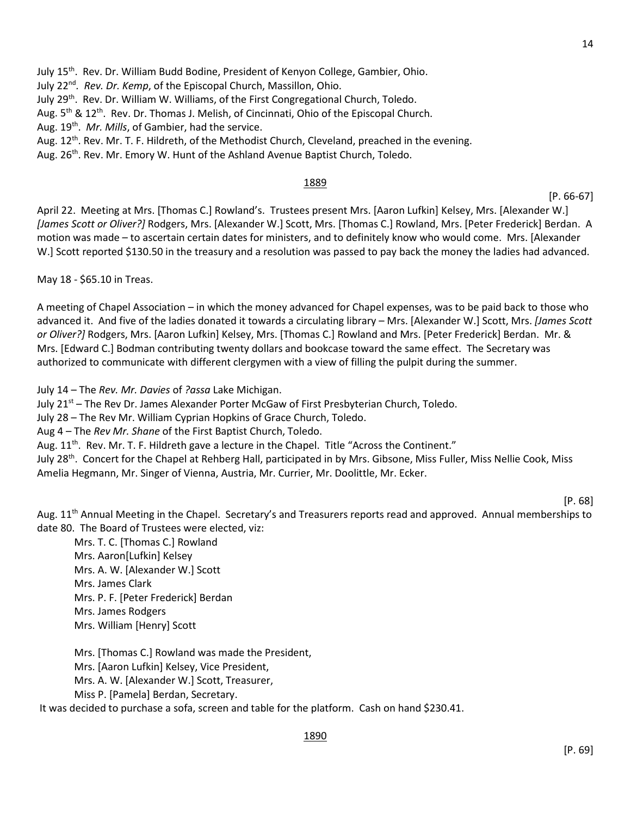July 15th. Rev. Dr. William Budd Bodine, President of Kenyon College, Gambier, Ohio.

July 22nd*. Rev. Dr. Kemp*, of the Episcopal Church, Massillon, Ohio.

July 29<sup>th</sup>. Rev. Dr. William W. Williams, of the First Congregational Church, Toledo.

Aug. 5<sup>th</sup> & 12<sup>th</sup>. Rev. Dr. Thomas J. Melish, of Cincinnati, Ohio of the Episcopal Church.

Aug. 19th. *Mr. Mills*, of Gambier, had the service.

Aug. 12<sup>th</sup>. Rev. Mr. T. F. Hildreth, of the Methodist Church, Cleveland, preached in the evening.

Aug. 26<sup>th</sup>. Rev. Mr. Emory W. Hunt of the Ashland Avenue Baptist Church, Toledo.

### 1889

[P. 66-67]

April 22. Meeting at Mrs. [Thomas C.] Rowland's. Trustees present Mrs. [Aaron Lufkin] Kelsey, Mrs. [Alexander W.] *[James Scott or Oliver?]* Rodgers, Mrs. [Alexander W.] Scott, Mrs. [Thomas C.] Rowland, Mrs. [Peter Frederick] Berdan. A motion was made – to ascertain certain dates for ministers, and to definitely know who would come. Mrs. [Alexander W.] Scott reported \$130.50 in the treasury and a resolution was passed to pay back the money the ladies had advanced.

May 18 - \$65.10 in Treas.

A meeting of Chapel Association – in which the money advanced for Chapel expenses, was to be paid back to those who advanced it. And five of the ladies donated it towards a circulating library – Mrs. [Alexander W.] Scott, Mrs. *[James Scott or Oliver?]* Rodgers, Mrs. [Aaron Lufkin] Kelsey, Mrs. [Thomas C.] Rowland and Mrs. [Peter Frederick] Berdan. Mr. & Mrs. [Edward C.] Bodman contributing twenty dollars and bookcase toward the same effect. The Secretary was authorized to communicate with different clergymen with a view of filling the pulpit during the summer.

July 14 – The *Rev. Mr. Davies* of *?assa* Lake Michigan.

July 21<sup>st</sup> – The Rev Dr. James Alexander Porter McGaw of First Presbyterian Church, Toledo.

July 28 – The Rev Mr. William Cyprian Hopkins of Grace Church, Toledo.

Aug 4 – The *Rev Mr. Shane* of the First Baptist Church, Toledo.

Aug. 11<sup>th</sup>. Rev. Mr. T. F. Hildreth gave a lecture in the Chapel. Title "Across the Continent."

July 28<sup>th</sup>. Concert for the Chapel at Rehberg Hall, participated in by Mrs. Gibsone, Miss Fuller, Miss Nellie Cook, Miss Amelia Hegmann, Mr. Singer of Vienna, Austria, Mr. Currier, Mr. Doolittle, Mr. Ecker.

[P. 68]

Aug. 11<sup>th</sup> Annual Meeting in the Chapel. Secretary's and Treasurers reports read and approved. Annual memberships to date 80. The Board of Trustees were elected, viz:

Mrs. T. C. [Thomas C.] Rowland Mrs. Aaron[Lufkin] Kelsey Mrs. A. W. [Alexander W.] Scott Mrs. James Clark Mrs. P. F. [Peter Frederick] Berdan Mrs. James Rodgers Mrs. William [Henry] Scott

Mrs. [Thomas C.] Rowland was made the President, Mrs. [Aaron Lufkin] Kelsey, Vice President, Mrs. A. W. [Alexander W.] Scott, Treasurer, Miss P. [Pamela] Berdan, Secretary.

It was decided to purchase a sofa, screen and table for the platform. Cash on hand \$230.41.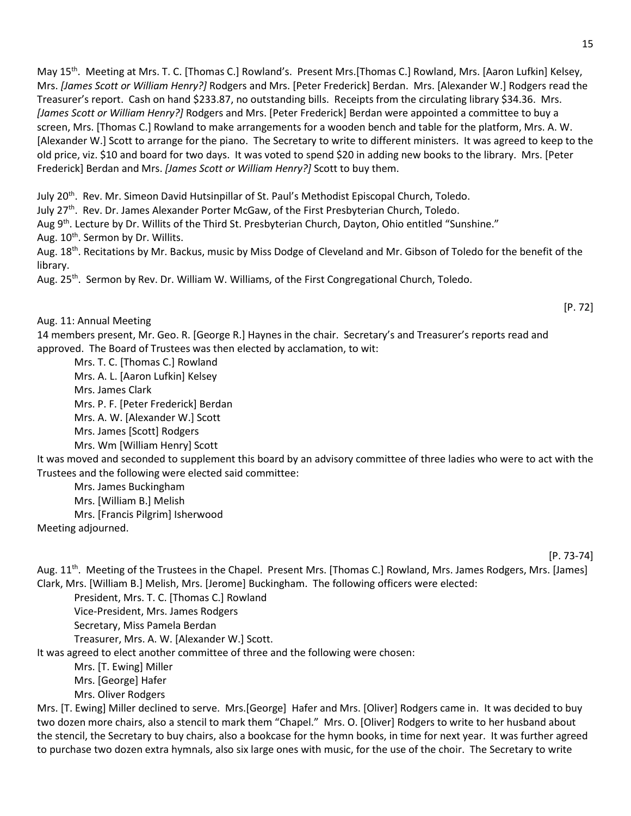May 15<sup>th</sup>. Meeting at Mrs. T. C. [Thomas C.] Rowland's. Present Mrs.[Thomas C.] Rowland, Mrs. [Aaron Lufkin] Kelsey, Mrs. *[James Scott or William Henry?]* Rodgers and Mrs. [Peter Frederick] Berdan. Mrs. [Alexander W.] Rodgers read the Treasurer's report. Cash on hand \$233.87, no outstanding bills. Receipts from the circulating library \$34.36. Mrs. *[James Scott or William Henry?]* Rodgers and Mrs. [Peter Frederick] Berdan were appointed a committee to buy a screen, Mrs. [Thomas C.] Rowland to make arrangements for a wooden bench and table for the platform, Mrs. A. W. [Alexander W.] Scott to arrange for the piano. The Secretary to write to different ministers. It was agreed to keep to the old price, viz. \$10 and board for two days. It was voted to spend \$20 in adding new books to the library. Mrs. [Peter Frederick] Berdan and Mrs. *[James Scott or William Henry?]* Scott to buy them.

July 20<sup>th</sup>. Rev. Mr. Simeon David Hutsinpillar of St. Paul's Methodist Episcopal Church, Toledo.

July 27th. Rev. Dr. James Alexander Porter McGaw, of the First Presbyterian Church, Toledo.

Aug 9<sup>th</sup>. Lecture by Dr. Willits of the Third St. Presbyterian Church, Dayton, Ohio entitled "Sunshine."

Aug. 10<sup>th</sup>. Sermon by Dr. Willits.

Aug. 18<sup>th</sup>. Recitations by Mr. Backus, music by Miss Dodge of Cleveland and Mr. Gibson of Toledo for the benefit of the library.

Aug. 25<sup>th</sup>. Sermon by Rev. Dr. William W. Williams, of the First Congregational Church, Toledo.

Aug. 11: Annual Meeting

[P. 72]

14 members present, Mr. Geo. R. [George R.] Haynes in the chair. Secretary's and Treasurer's reports read and approved. The Board of Trustees was then elected by acclamation, to wit:

Mrs. T. C. [Thomas C.] Rowland Mrs. A. L. [Aaron Lufkin] Kelsey Mrs. James Clark Mrs. P. F. [Peter Frederick] Berdan Mrs. A. W. [Alexander W.] Scott Mrs. James [Scott] Rodgers Mrs. Wm [William Henry] Scott

It was moved and seconded to supplement this board by an advisory committee of three ladies who were to act with the Trustees and the following were elected said committee:

Mrs. James Buckingham Mrs. [William B.] Melish

Mrs. [Francis Pilgrim] Isherwood

Meeting adjourned.

[P. 73-74]

Aug. 11<sup>th</sup>. Meeting of the Trustees in the Chapel. Present Mrs. [Thomas C.] Rowland, Mrs. James Rodgers, Mrs. [James] Clark, Mrs. [William B.] Melish, Mrs. [Jerome] Buckingham. The following officers were elected:

President, Mrs. T. C. [Thomas C.] Rowland

Vice-President, Mrs. James Rodgers

Secretary, Miss Pamela Berdan

Treasurer, Mrs. A. W. [Alexander W.] Scott.

It was agreed to elect another committee of three and the following were chosen:

Mrs. [T. Ewing] Miller

Mrs. [George] Hafer

Mrs. Oliver Rodgers

Mrs. [T. Ewing] Miller declined to serve. Mrs.[George] Hafer and Mrs. [Oliver] Rodgers came in. It was decided to buy two dozen more chairs, also a stencil to mark them "Chapel." Mrs. O. [Oliver] Rodgers to write to her husband about the stencil, the Secretary to buy chairs, also a bookcase for the hymn books, in time for next year. It was further agreed to purchase two dozen extra hymnals, also six large ones with music, for the use of the choir. The Secretary to write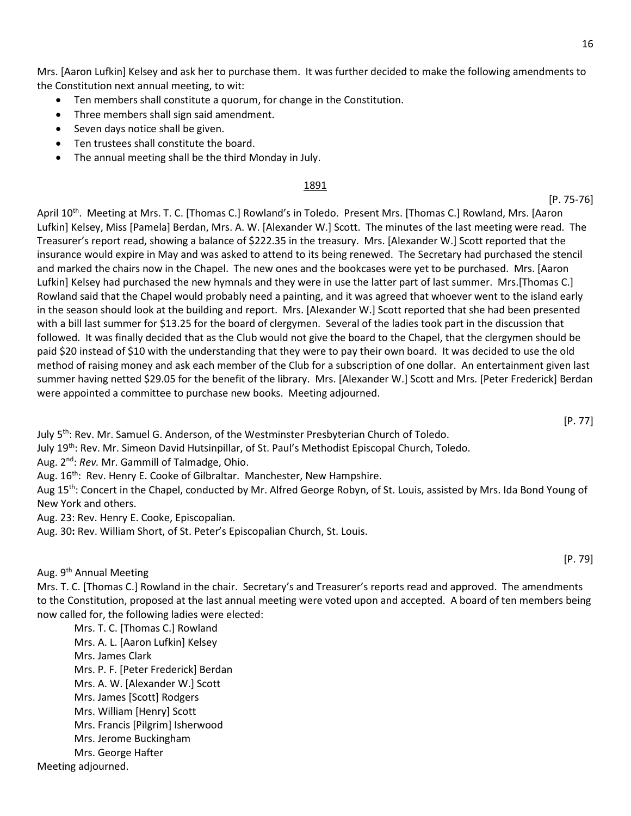Mrs. [Aaron Lufkin] Kelsey and ask her to purchase them. It was further decided to make the following amendments to the Constitution next annual meeting, to wit:

- Ten members shall constitute a quorum, for change in the Constitution.
- Three members shall sign said amendment.
- Seven days notice shall be given.
- Ten trustees shall constitute the board.
- The annual meeting shall be the third Monday in July.

### 1891

April 10<sup>th</sup>. Meeting at Mrs. T. C. [Thomas C.] Rowland's in Toledo. Present Mrs. [Thomas C.] Rowland, Mrs. [Aaron Lufkin] Kelsey, Miss [Pamela] Berdan, Mrs. A. W. [Alexander W.] Scott. The minutes of the last meeting were read. The Treasurer's report read, showing a balance of \$222.35 in the treasury. Mrs. [Alexander W.] Scott reported that the insurance would expire in May and was asked to attend to its being renewed. The Secretary had purchased the stencil and marked the chairs now in the Chapel. The new ones and the bookcases were yet to be purchased. Mrs. [Aaron Lufkin] Kelsey had purchased the new hymnals and they were in use the latter part of last summer. Mrs.[Thomas C.] Rowland said that the Chapel would probably need a painting, and it was agreed that whoever went to the island early in the season should look at the building and report. Mrs. [Alexander W.] Scott reported that she had been presented with a bill last summer for \$13.25 for the board of clergymen. Several of the ladies took part in the discussion that followed. It was finally decided that as the Club would not give the board to the Chapel, that the clergymen should be paid \$20 instead of \$10 with the understanding that they were to pay their own board. It was decided to use the old method of raising money and ask each member of the Club for a subscription of one dollar. An entertainment given last summer having netted \$29.05 for the benefit of the library. Mrs. [Alexander W.] Scott and Mrs. [Peter Frederick] Berdan were appointed a committee to purchase new books. Meeting adjourned.

[P. 77]

July 5<sup>th</sup>: Rev. Mr. Samuel G. Anderson, of the Westminster Presbyterian Church of Toledo.

July 19<sup>th</sup>: Rev. Mr. Simeon David Hutsinpillar, of St. Paul's Methodist Episcopal Church, Toledo.

Aug. 2nd: *Rev.* Mr. Gammill of Talmadge, Ohio.

Aug. 16<sup>th</sup>: Rev. Henry E. Cooke of Gilbraltar. Manchester, New Hampshire.

Aug 15<sup>th</sup>: Concert in the Chapel, conducted by Mr. Alfred George Robyn, of St. Louis, assisted by Mrs. Ida Bond Young of New York and others.

Aug. 23: Rev. Henry E. Cooke, Episcopalian.

Aug. 30**:** Rev. William Short, of St. Peter's Episcopalian Church, St. Louis.

Aug. 9<sup>th</sup> Annual Meeting

Mrs. T. C. [Thomas C.] Rowland in the chair. Secretary's and Treasurer's reports read and approved. The amendments to the Constitution, proposed at the last annual meeting were voted upon and accepted. A board of ten members being now called for, the following ladies were elected:

Mrs. T. C. [Thomas C.] Rowland Mrs. A. L. [Aaron Lufkin] Kelsey Mrs. James Clark Mrs. P. F. [Peter Frederick] Berdan Mrs. A. W. [Alexander W.] Scott Mrs. James [Scott] Rodgers Mrs. William [Henry] Scott Mrs. Francis [Pilgrim] Isherwood Mrs. Jerome Buckingham Mrs. George Hafter

Meeting adjourned.

[P. 79]

[P. 75-76]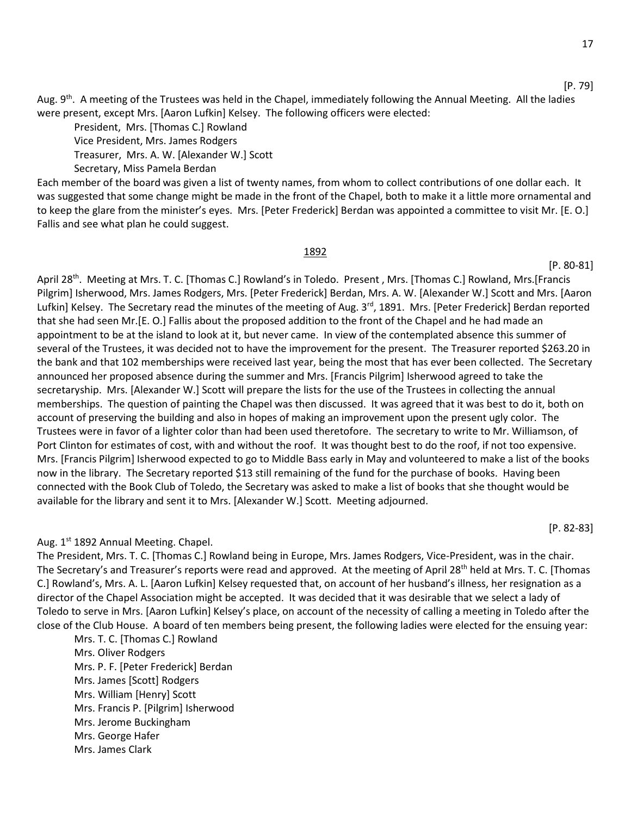Aug. 9<sup>th</sup>. A meeting of the Trustees was held in the Chapel, immediately following the Annual Meeting. All the ladies were present, except Mrs. [Aaron Lufkin] Kelsey. The following officers were elected:

President, Mrs. [Thomas C.] Rowland

Vice President, Mrs. James Rodgers

Treasurer, Mrs. A. W. [Alexander W.] Scott

Secretary, Miss Pamela Berdan

Each member of the board was given a list of twenty names, from whom to collect contributions of one dollar each. It was suggested that some change might be made in the front of the Chapel, both to make it a little more ornamental and to keep the glare from the minister's eyes. Mrs. [Peter Frederick] Berdan was appointed a committee to visit Mr. [E. O.] Fallis and see what plan he could suggest.

#### 1892

[P. 80-81]

April 28th. Meeting at Mrs. T. C. [Thomas C.] Rowland's in Toledo. Present , Mrs. [Thomas C.] Rowland, Mrs.[Francis Pilgrim] Isherwood, Mrs. James Rodgers, Mrs. [Peter Frederick] Berdan, Mrs. A. W. [Alexander W.] Scott and Mrs. [Aaron Lufkin] Kelsey. The Secretary read the minutes of the meeting of Aug. 3<sup>rd</sup>, 1891. Mrs. [Peter Frederick] Berdan reported that she had seen Mr.[E. O.] Fallis about the proposed addition to the front of the Chapel and he had made an appointment to be at the island to look at it, but never came. In view of the contemplated absence this summer of several of the Trustees, it was decided not to have the improvement for the present. The Treasurer reported \$263.20 in the bank and that 102 memberships were received last year, being the most that has ever been collected. The Secretary announced her proposed absence during the summer and Mrs. [Francis Pilgrim] Isherwood agreed to take the secretaryship. Mrs. [Alexander W.] Scott will prepare the lists for the use of the Trustees in collecting the annual memberships. The question of painting the Chapel was then discussed. It was agreed that it was best to do it, both on account of preserving the building and also in hopes of making an improvement upon the present ugly color. The Trustees were in favor of a lighter color than had been used theretofore. The secretary to write to Mr. Williamson, of Port Clinton for estimates of cost, with and without the roof. It was thought best to do the roof, if not too expensive. Mrs. [Francis Pilgrim] Isherwood expected to go to Middle Bass early in May and volunteered to make a list of the books now in the library. The Secretary reported \$13 still remaining of the fund for the purchase of books. Having been connected with the Book Club of Toledo, the Secretary was asked to make a list of books that she thought would be available for the library and sent it to Mrs. [Alexander W.] Scott. Meeting adjourned.

#### Aug. 1<sup>st</sup> 1892 Annual Meeting. Chapel.

The President, Mrs. T. C. [Thomas C.] Rowland being in Europe, Mrs. James Rodgers, Vice-President, was in the chair. The Secretary's and Treasurer's reports were read and approved. At the meeting of April 28<sup>th</sup> held at Mrs. T. C. [Thomas C.] Rowland's, Mrs. A. L. [Aaron Lufkin] Kelsey requested that, on account of her husband's illness, her resignation as a director of the Chapel Association might be accepted. It was decided that it was desirable that we select a lady of Toledo to serve in Mrs. [Aaron Lufkin] Kelsey's place, on account of the necessity of calling a meeting in Toledo after the close of the Club House. A board of ten members being present, the following ladies were elected for the ensuing year:

Mrs. T. C. [Thomas C.] Rowland Mrs. Oliver Rodgers Mrs. P. F. [Peter Frederick] Berdan Mrs. James [Scott] Rodgers Mrs. William [Henry] Scott Mrs. Francis P. [Pilgrim] Isherwood Mrs. Jerome Buckingham Mrs. George Hafer Mrs. James Clark

[P. 82-83]

[P. 79]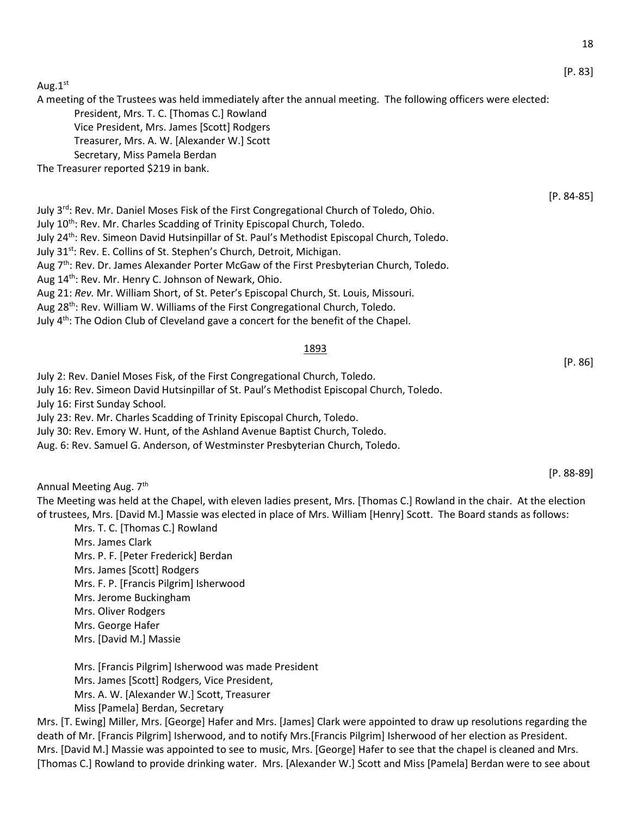Aug.1st

A meeting of the Trustees was held immediately after the annual meeting. The following officers were elected:

President, Mrs. T. C. [Thomas C.] Rowland

Vice President, Mrs. James [Scott] Rodgers Treasurer, Mrs. A. W. [Alexander W.] Scott

Secretary, Miss Pamela Berdan

The Treasurer reported \$219 in bank.

July 3<sup>rd</sup>: Rev. Mr. Daniel Moses Fisk of the First Congregational Church of Toledo, Ohio.

July 10<sup>th</sup>: Rev. Mr. Charles Scadding of Trinity Episcopal Church, Toledo.

July 24<sup>th</sup>: Rev. Simeon David Hutsinpillar of St. Paul's Methodist Episcopal Church, Toledo.

July 31<sup>st</sup>: Rev. E. Collins of St. Stephen's Church, Detroit, Michigan.

Aug 7<sup>th</sup>: Rev. Dr. James Alexander Porter McGaw of the First Presbyterian Church, Toledo.

Aug 14<sup>th</sup>: Rev. Mr. Henry C. Johnson of Newark, Ohio.

Aug 21: *Rev.* Mr. William Short, of St. Peter's Episcopal Church, St. Louis, Missouri.

Aug 28<sup>th</sup>: Rev. William W. Williams of the First Congregational Church, Toledo.

July  $4<sup>th</sup>$ : The Odion Club of Cleveland gave a concert for the benefit of the Chapel.

### 1893

July 2: Rev. Daniel Moses Fisk, of the First Congregational Church, Toledo.

July 16: Rev. Simeon David Hutsinpillar of St. Paul's Methodist Episcopal Church, Toledo.

July 16: First Sunday School.

July 23: Rev. Mr. Charles Scadding of Trinity Episcopal Church, Toledo.

July 30: Rev. Emory W. Hunt, of the Ashland Avenue Baptist Church, Toledo.

Aug. 6: Rev. Samuel G. Anderson, of Westminster Presbyterian Church, Toledo.

Annual Meeting Aug. 7<sup>th</sup>

The Meeting was held at the Chapel, with eleven ladies present, Mrs. [Thomas C.] Rowland in the chair. At the election of trustees, Mrs. [David M.] Massie was elected in place of Mrs. William [Henry] Scott. The Board stands as follows:

Mrs. T. C. [Thomas C.] Rowland Mrs. James Clark Mrs. P. F. [Peter Frederick] Berdan Mrs. James [Scott] Rodgers Mrs. F. P. [Francis Pilgrim] Isherwood Mrs. Jerome Buckingham Mrs. Oliver Rodgers Mrs. George Hafer

Mrs. [David M.] Massie

Mrs. [Francis Pilgrim] Isherwood was made President Mrs. James [Scott] Rodgers, Vice President, Mrs. A. W. [Alexander W.] Scott, Treasurer Miss [Pamela] Berdan, Secretary

Mrs. [T. Ewing] Miller, Mrs. [George] Hafer and Mrs. [James] Clark were appointed to draw up resolutions regarding the death of Mr. [Francis Pilgrim] Isherwood, and to notify Mrs.[Francis Pilgrim] Isherwood of her election as President. Mrs. [David M.] Massie was appointed to see to music, Mrs. [George] Hafer to see that the chapel is cleaned and Mrs. [Thomas C.] Rowland to provide drinking water. Mrs. [Alexander W.] Scott and Miss [Pamela] Berdan were to see about

[P. 83]

[P. 84-85]

[P. 88-89]

[P. 86]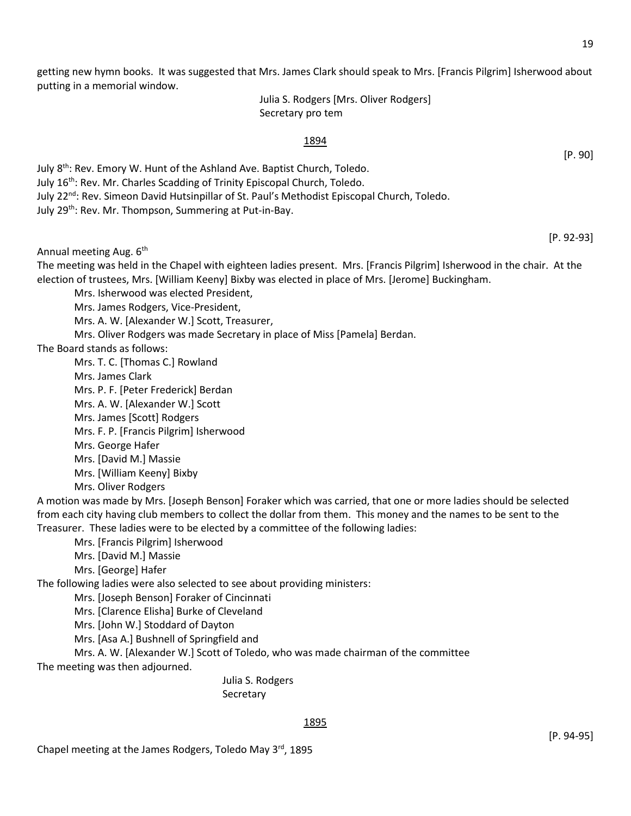getting new hymn books. It was suggested that Mrs. James Clark should speak to Mrs. [Francis Pilgrim] Isherwood about putting in a memorial window.

> Julia S. Rodgers [Mrs. Oliver Rodgers] Secretary pro tem

### 1894

July 8<sup>th</sup>: Rev. Emory W. Hunt of the Ashland Ave. Baptist Church, Toledo. July 16th: Rev. Mr. Charles Scadding of Trinity Episcopal Church, Toledo. July 22<sup>nd</sup>: Rev. Simeon David Hutsinpillar of St. Paul's Methodist Episcopal Church, Toledo. July 29<sup>th</sup>: Rev. Mr. Thompson, Summering at Put-in-Bay.

[P. 92-93]

[P. 90]

Annual meeting Aug. 6<sup>th</sup>

The meeting was held in the Chapel with eighteen ladies present. Mrs. [Francis Pilgrim] Isherwood in the chair. At the election of trustees, Mrs. [William Keeny] Bixby was elected in place of Mrs. [Jerome] Buckingham.

Mrs. Isherwood was elected President,

Mrs. James Rodgers, Vice-President,

Mrs. A. W. [Alexander W.] Scott, Treasurer,

Mrs. Oliver Rodgers was made Secretary in place of Miss [Pamela] Berdan.

The Board stands as follows:

Mrs. T. C. [Thomas C.] Rowland Mrs. James Clark Mrs. P. F. [Peter Frederick] Berdan Mrs. A. W. [Alexander W.] Scott Mrs. James [Scott] Rodgers Mrs. F. P. [Francis Pilgrim] Isherwood Mrs. George Hafer Mrs. [David M.] Massie Mrs. [William Keeny] Bixby Mrs. Oliver Rodgers

A motion was made by Mrs. [Joseph Benson] Foraker which was carried, that one or more ladies should be selected from each city having club members to collect the dollar from them. This money and the names to be sent to the Treasurer. These ladies were to be elected by a committee of the following ladies:

Mrs. [Francis Pilgrim] Isherwood

Mrs. [David M.] Massie

Mrs. [George] Hafer

The following ladies were also selected to see about providing ministers:

Mrs. [Joseph Benson] Foraker of Cincinnati

Mrs. [Clarence Elisha] Burke of Cleveland

Mrs. [John W.] Stoddard of Dayton

Mrs. [Asa A.] Bushnell of Springfield and

Mrs. A. W. [Alexander W.] Scott of Toledo, who was made chairman of the committee The meeting was then adjourned.

> Julia S. Rodgers Secretary

### 1895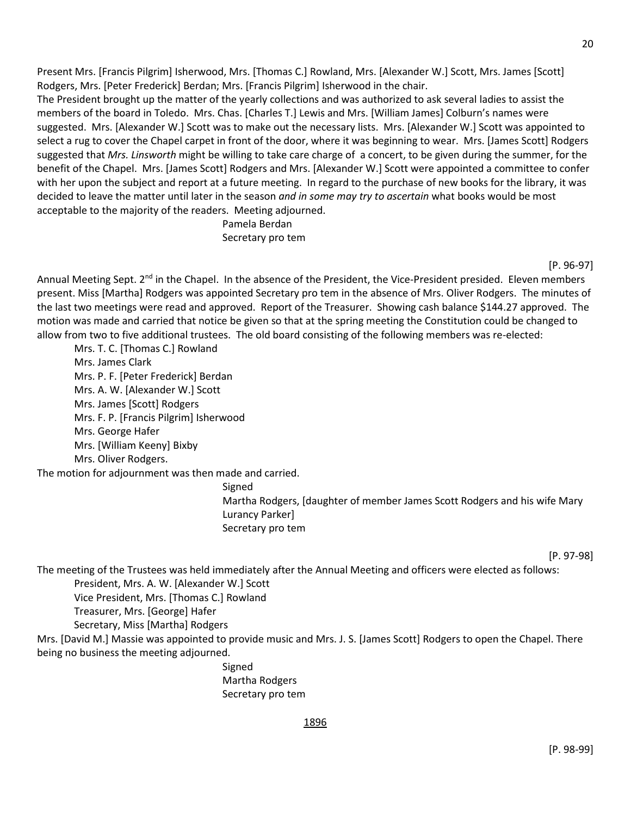Present Mrs. [Francis Pilgrim] Isherwood, Mrs. [Thomas C.] Rowland, Mrs. [Alexander W.] Scott, Mrs. James [Scott] Rodgers, Mrs. [Peter Frederick] Berdan; Mrs. [Francis Pilgrim] Isherwood in the chair.

The President brought up the matter of the yearly collections and was authorized to ask several ladies to assist the members of the board in Toledo. Mrs. Chas. [Charles T.] Lewis and Mrs. [William James] Colburn's names were suggested. Mrs. [Alexander W.] Scott was to make out the necessary lists. Mrs. [Alexander W.] Scott was appointed to select a rug to cover the Chapel carpet in front of the door, where it was beginning to wear. Mrs. [James Scott] Rodgers suggested that *Mrs. Linsworth* might be willing to take care charge of a concert, to be given during the summer, for the benefit of the Chapel. Mrs. [James Scott] Rodgers and Mrs. [Alexander W.] Scott were appointed a committee to confer with her upon the subject and report at a future meeting. In regard to the purchase of new books for the library, it was decided to leave the matter until later in the season *and in some may try to ascertain* what books would be most acceptable to the majority of the readers. Meeting adjourned.

> Pamela Berdan Secretary pro tem

> > [P. 96-97]

Annual Meeting Sept. 2<sup>nd</sup> in the Chapel. In the absence of the President, the Vice-President presided. Eleven members present. Miss [Martha] Rodgers was appointed Secretary pro tem in the absence of Mrs. Oliver Rodgers. The minutes of the last two meetings were read and approved. Report of the Treasurer. Showing cash balance \$144.27 approved. The motion was made and carried that notice be given so that at the spring meeting the Constitution could be changed to allow from two to five additional trustees. The old board consisting of the following members was re-elected:

Mrs. T. C. [Thomas C.] Rowland Mrs. James Clark Mrs. P. F. [Peter Frederick] Berdan Mrs. A. W. [Alexander W.] Scott Mrs. James [Scott] Rodgers Mrs. F. P. [Francis Pilgrim] Isherwood Mrs. George Hafer Mrs. [William Keeny] Bixby Mrs. Oliver Rodgers.

The motion for adjournment was then made and carried.

Signed

Martha Rodgers, [daughter of member James Scott Rodgers and his wife Mary Lurancy Parker] Secretary pro tem

[P. 97-98]

The meeting of the Trustees was held immediately after the Annual Meeting and officers were elected as follows:

President, Mrs. A. W. [Alexander W.] Scott

Vice President, Mrs. [Thomas C.] Rowland

Treasurer, Mrs. [George] Hafer

Secretary, Miss [Martha] Rodgers

Mrs. [David M.] Massie was appointed to provide music and Mrs. J. S. [James Scott] Rodgers to open the Chapel. There being no business the meeting adjourned.

> Signed Martha Rodgers Secretary pro tem

> > 1896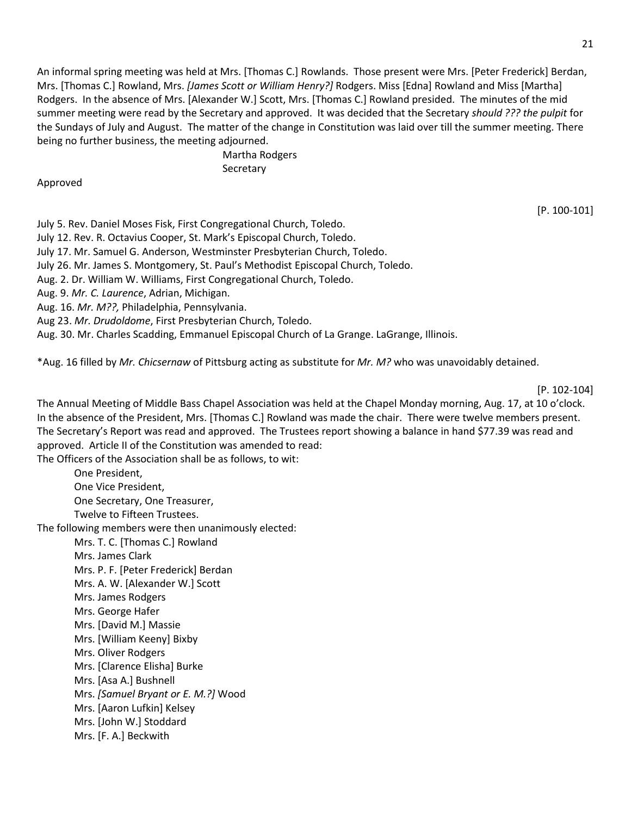An informal spring meeting was held at Mrs. [Thomas C.] Rowlands. Those present were Mrs. [Peter Frederick] Berdan, Mrs. [Thomas C.] Rowland, Mrs. *[James Scott or William Henry?]* Rodgers. Miss [Edna] Rowland and Miss [Martha] Rodgers. In the absence of Mrs. [Alexander W.] Scott, Mrs. [Thomas C.] Rowland presided. The minutes of the mid summer meeting were read by the Secretary and approved. It was decided that the Secretary *should ??? the pulpit* for the Sundays of July and August. The matter of the change in Constitution was laid over till the summer meeting. There being no further business, the meeting adjourned.

> Martha Rodgers **Secretary**

#### Approved

[P. 100-101]

July 5. Rev. Daniel Moses Fisk, First Congregational Church, Toledo.

July 12. Rev. R. Octavius Cooper, St. Mark's Episcopal Church, Toledo.

July 17. Mr. Samuel G. Anderson, Westminster Presbyterian Church, Toledo.

July 26. Mr. James S. Montgomery, St. Paul's Methodist Episcopal Church, Toledo.

Aug. 2. Dr. William W. Williams, First Congregational Church, Toledo.

Aug. 9. *Mr. C. Laurence*, Adrian, Michigan.

Aug. 16. *Mr. M??,* Philadelphia, Pennsylvania.

Aug 23. *Mr. Drudoldome*, First Presbyterian Church, Toledo.

Aug. 30. Mr. Charles Scadding, Emmanuel Episcopal Church of La Grange. LaGrange, Illinois.

\*Aug. 16 filled by *Mr. Chicsernaw* of Pittsburg acting as substitute for *Mr. M?* who was unavoidably detained.

[P. 102-104]

The Annual Meeting of Middle Bass Chapel Association was held at the Chapel Monday morning, Aug. 17, at 10 o'clock. In the absence of the President, Mrs. [Thomas C.] Rowland was made the chair. There were twelve members present. The Secretary's Report was read and approved. The Trustees report showing a balance in hand \$77.39 was read and approved. Article II of the Constitution was amended to read:

The Officers of the Association shall be as follows, to wit:

One President, One Vice President, One Secretary, One Treasurer, Twelve to Fifteen Trustees.

The following members were then unanimously elected:

Mrs. T. C. [Thomas C.] Rowland

Mrs. James Clark Mrs. P. F. [Peter Frederick] Berdan Mrs. A. W. [Alexander W.] Scott Mrs. James Rodgers Mrs. George Hafer Mrs. [David M.] Massie Mrs. [William Keeny] Bixby Mrs. Oliver Rodgers Mrs. [Clarence Elisha] Burke Mrs. [Asa A.] Bushnell Mrs. *[Samuel Bryant or E. M.?]* Wood Mrs. [Aaron Lufkin] Kelsey Mrs. [John W.] Stoddard Mrs. [F. A.] Beckwith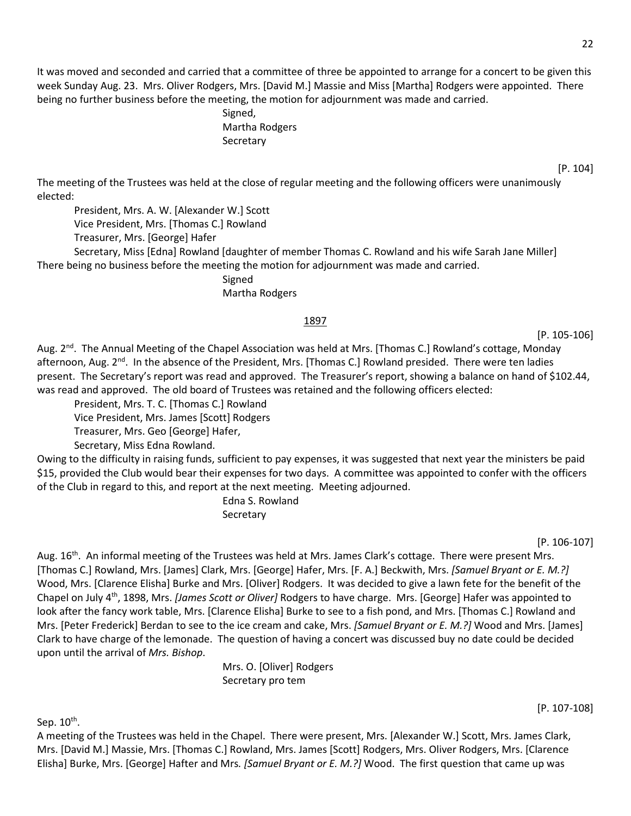22

It was moved and seconded and carried that a committee of three be appointed to arrange for a concert to be given this week Sunday Aug. 23. Mrs. Oliver Rodgers, Mrs. [David M.] Massie and Miss [Martha] Rodgers were appointed. There being no further business before the meeting, the motion for adjournment was made and carried.

> Signed, Martha Rodgers Secretary

The meeting of the Trustees was held at the close of regular meeting and the following officers were unanimously elected:

President, Mrs. A. W. [Alexander W.] Scott Vice President, Mrs. [Thomas C.] Rowland Treasurer, Mrs. [George] Hafer

Secretary, Miss [Edna] Rowland [daughter of member Thomas C. Rowland and his wife Sarah Jane Miller] There being no business before the meeting the motion for adjournment was made and carried.

Signed

Martha Rodgers

### 1897

[P. 105-106]

Aug. 2<sup>nd</sup>. The Annual Meeting of the Chapel Association was held at Mrs. [Thomas C.] Rowland's cottage, Monday afternoon, Aug. 2<sup>nd</sup>. In the absence of the President, Mrs. [Thomas C.] Rowland presided. There were ten ladies present. The Secretary's report was read and approved. The Treasurer's report, showing a balance on hand of \$102.44, was read and approved. The old board of Trustees was retained and the following officers elected:

President, Mrs. T. C. [Thomas C.] Rowland

Vice President, Mrs. James [Scott] Rodgers

Treasurer, Mrs. Geo [George] Hafer,

Secretary, Miss Edna Rowland.

Owing to the difficulty in raising funds, sufficient to pay expenses, it was suggested that next year the ministers be paid \$15, provided the Club would bear their expenses for two days. A committee was appointed to confer with the officers of the Club in regard to this, and report at the next meeting. Meeting adjourned.

Edna S. Rowland **Secretary** 

[P. 106-107]

Aug. 16<sup>th</sup>. An informal meeting of the Trustees was held at Mrs. James Clark's cottage. There were present Mrs. [Thomas C.] Rowland, Mrs. [James] Clark, Mrs. [George] Hafer, Mrs. [F. A.] Beckwith, Mrs. *[Samuel Bryant or E. M.?]* Wood, Mrs. [Clarence Elisha] Burke and Mrs. [Oliver] Rodgers. It was decided to give a lawn fete for the benefit of the Chapel on July 4th, 1898, Mrs. *[James Scott or Oliver]* Rodgers to have charge. Mrs. [George] Hafer was appointed to look after the fancy work table, Mrs. [Clarence Elisha] Burke to see to a fish pond, and Mrs. [Thomas C.] Rowland and Mrs. [Peter Frederick] Berdan to see to the ice cream and cake, Mrs. *[Samuel Bryant or E. M.?]* Wood and Mrs. [James] Clark to have charge of the lemonade. The question of having a concert was discussed buy no date could be decided upon until the arrival of *Mrs. Bishop*.

> Mrs. O. [Oliver] Rodgers Secretary pro tem

Sep. 10<sup>th</sup>.

A meeting of the Trustees was held in the Chapel. There were present, Mrs. [Alexander W.] Scott, Mrs. James Clark, Mrs. [David M.] Massie, Mrs. [Thomas C.] Rowland, Mrs. James [Scott] Rodgers, Mrs. Oliver Rodgers, Mrs. [Clarence Elisha] Burke, Mrs. [George] Hafter and Mrs*. [Samuel Bryant or E. M.?]* Wood. The first question that came up was

[P. 107-108]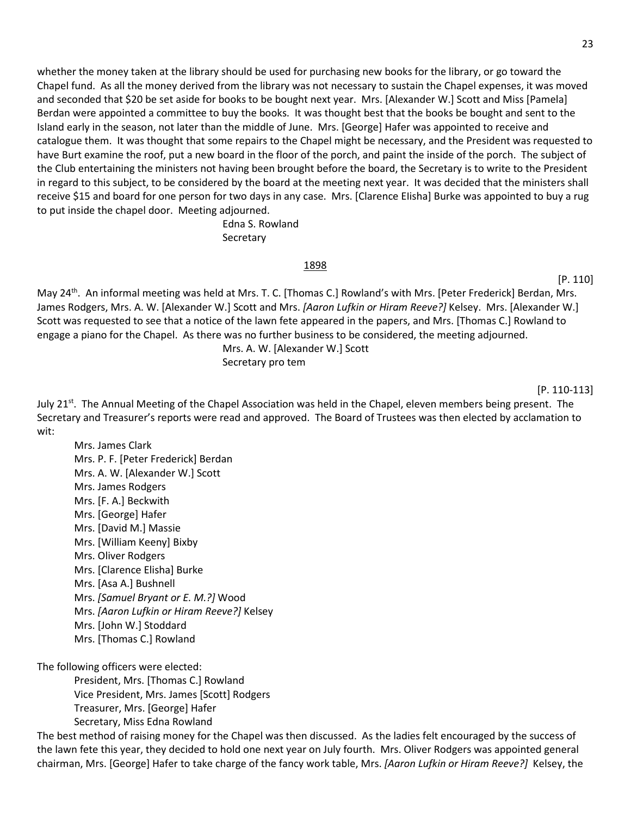whether the money taken at the library should be used for purchasing new books for the library, or go toward the Chapel fund. As all the money derived from the library was not necessary to sustain the Chapel expenses, it was moved and seconded that \$20 be set aside for books to be bought next year. Mrs. [Alexander W.] Scott and Miss [Pamela] Berdan were appointed a committee to buy the books. It was thought best that the books be bought and sent to the Island early in the season, not later than the middle of June. Mrs. [George] Hafer was appointed to receive and catalogue them. It was thought that some repairs to the Chapel might be necessary, and the President was requested to have Burt examine the roof, put a new board in the floor of the porch, and paint the inside of the porch. The subject of the Club entertaining the ministers not having been brought before the board, the Secretary is to write to the President in regard to this subject, to be considered by the board at the meeting next year. It was decided that the ministers shall receive \$15 and board for one person for two days in any case. Mrs. [Clarence EIisha] Burke was appointed to buy a rug to put inside the chapel door. Meeting adjourned.

> Edna S. Rowland **Secretary**

#### 1898

#### [P. 110]

May 24th. An informal meeting was held at Mrs. T. C. [Thomas C.] Rowland's with Mrs. [Peter Frederick] Berdan, Mrs. James Rodgers, Mrs. A. W. [Alexander W.] Scott and Mrs. *[Aaron Lufkin or Hiram Reeve?]* Kelsey. Mrs. [Alexander W.] Scott was requested to see that a notice of the lawn fete appeared in the papers, and Mrs. [Thomas C.] Rowland to engage a piano for the Chapel. As there was no further business to be considered, the meeting adjourned. Mrs. A. W. [Alexander W.] Scott

Secretary pro tem

#### [P. 110-113]

July 21<sup>st</sup>. The Annual Meeting of the Chapel Association was held in the Chapel, eleven members being present. The Secretary and Treasurer's reports were read and approved. The Board of Trustees was then elected by acclamation to wit:

Mrs. James Clark Mrs. P. F. [Peter Frederick] Berdan Mrs. A. W. [Alexander W.] Scott Mrs. James Rodgers Mrs. [F. A.] Beckwith Mrs. [George] Hafer Mrs. [David M.] Massie Mrs. [William Keeny] Bixby Mrs. Oliver Rodgers Mrs. [Clarence Elisha] Burke Mrs. [Asa A.] Bushnell Mrs. *[Samuel Bryant or E. M.?]* Wood Mrs. *[Aaron Lufkin or Hiram Reeve?]* Kelsey Mrs. [John W.] Stoddard Mrs. [Thomas C.] Rowland

The following officers were elected:

President, Mrs. [Thomas C.] Rowland Vice President, Mrs. James [Scott] Rodgers Treasurer, Mrs. [George] Hafer Secretary, Miss Edna Rowland

The best method of raising money for the Chapel was then discussed. As the ladies felt encouraged by the success of the lawn fete this year, they decided to hold one next year on July fourth. Mrs. Oliver Rodgers was appointed general chairman, Mrs. [George] Hafer to take charge of the fancy work table, Mrs. *[Aaron Lufkin or Hiram Reeve?]* Kelsey, the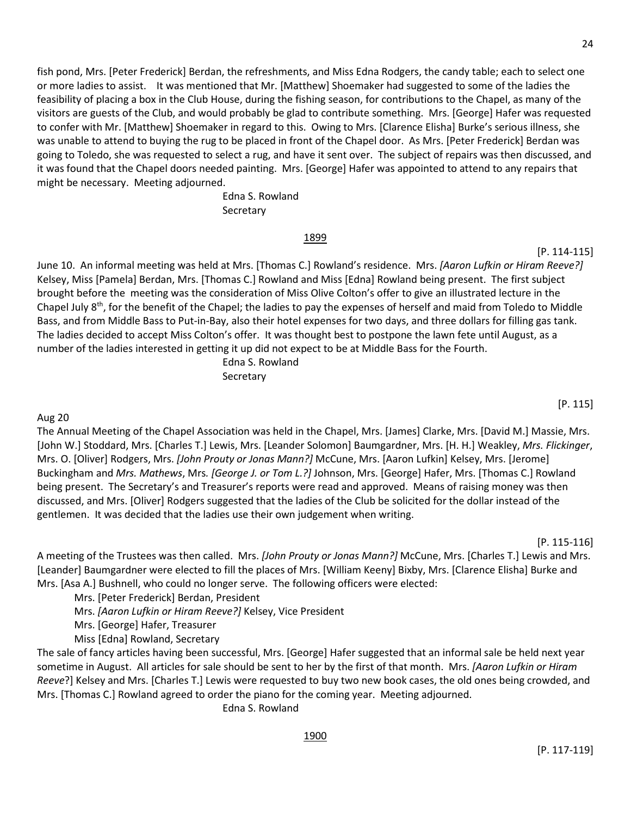fish pond, Mrs. [Peter Frederick] Berdan, the refreshments, and Miss Edna Rodgers, the candy table; each to select one or more ladies to assist. It was mentioned that Mr. [Matthew] Shoemaker had suggested to some of the ladies the feasibility of placing a box in the Club House, during the fishing season, for contributions to the Chapel, as many of the visitors are guests of the Club, and would probably be glad to contribute something. Mrs. [George] Hafer was requested to confer with Mr. [Matthew] Shoemaker in regard to this. Owing to Mrs. [Clarence Elisha] Burke's serious illness, she was unable to attend to buying the rug to be placed in front of the Chapel door. As Mrs. [Peter Frederick] Berdan was going to Toledo, she was requested to select a rug, and have it sent over. The subject of repairs was then discussed, and it was found that the Chapel doors needed painting. Mrs. [George] Hafer was appointed to attend to any repairs that might be necessary. Meeting adjourned.

> Edna S. Rowland Secretary

### 1899

June 10. An informal meeting was held at Mrs. [Thomas C.] Rowland's residence. Mrs. *[Aaron Lufkin or Hiram Reeve?]* Kelsey, Miss [Pamela] Berdan, Mrs. [Thomas C.] Rowland and Miss [Edna] Rowland being present. The first subject brought before the meeting was the consideration of Miss Olive Colton's offer to give an illustrated lecture in the Chapel July  $8<sup>th</sup>$ , for the benefit of the Chapel; the ladies to pay the expenses of herself and maid from Toledo to Middle Bass, and from Middle Bass to Put-in-Bay, also their hotel expenses for two days, and three dollars for filling gas tank. The ladies decided to accept Miss Colton's offer. It was thought best to postpone the lawn fete until August, as a number of the ladies interested in getting it up did not expect to be at Middle Bass for the Fourth.

> Edna S. Rowland Secretary

### Aug 20

The Annual Meeting of the Chapel Association was held in the Chapel, Mrs. [James] Clarke, Mrs. [David M.] Massie, Mrs. [John W.] Stoddard, Mrs. [Charles T.] Lewis, Mrs. [Leander Solomon] Baumgardner, Mrs. [H. H.] Weakley, *Mrs. Flickinger*, Mrs. O. [Oliver] Rodgers, Mrs. *[John Prouty or Jonas Mann?]* McCune, Mrs. [Aaron Lufkin] Kelsey, Mrs. [Jerome] Buckingham and *Mrs. Mathews*, Mrs*. [George J. or Tom L.?]* Johnson, Mrs. [George] Hafer, Mrs. [Thomas C.] Rowland being present. The Secretary's and Treasurer's reports were read and approved. Means of raising money was then discussed, and Mrs. [Oliver] Rodgers suggested that the ladies of the Club be solicited for the dollar instead of the gentlemen. It was decided that the ladies use their own judgement when writing.

[P. 115-116]

[P. 115]

[P. 114-115]

A meeting of the Trustees was then called. Mrs. *[John Prouty or Jonas Mann?]* McCune, Mrs. [Charles T.] Lewis and Mrs. [Leander] Baumgardner were elected to fill the places of Mrs. [William Keeny] Bixby, Mrs. [Clarence Elisha] Burke and Mrs. [Asa A.] Bushnell, who could no longer serve. The following officers were elected:

Mrs. [Peter Frederick] Berdan, President

Mrs. *[Aaron Lufkin or Hiram Reeve?]* Kelsey, Vice President

Mrs. [George] Hafer, Treasurer

Miss [Edna] Rowland, Secretary

The sale of fancy articles having been successful, Mrs. [George] Hafer suggested that an informal sale be held next year sometime in August. All articles for sale should be sent to her by the first of that month. Mrs. *[Aaron Lufkin or Hiram Reeve*?] Kelsey and Mrs. [Charles T.] Lewis were requested to buy two new book cases, the old ones being crowded, and Mrs. [Thomas C.] Rowland agreed to order the piano for the coming year. Meeting adjourned.

Edna S. Rowland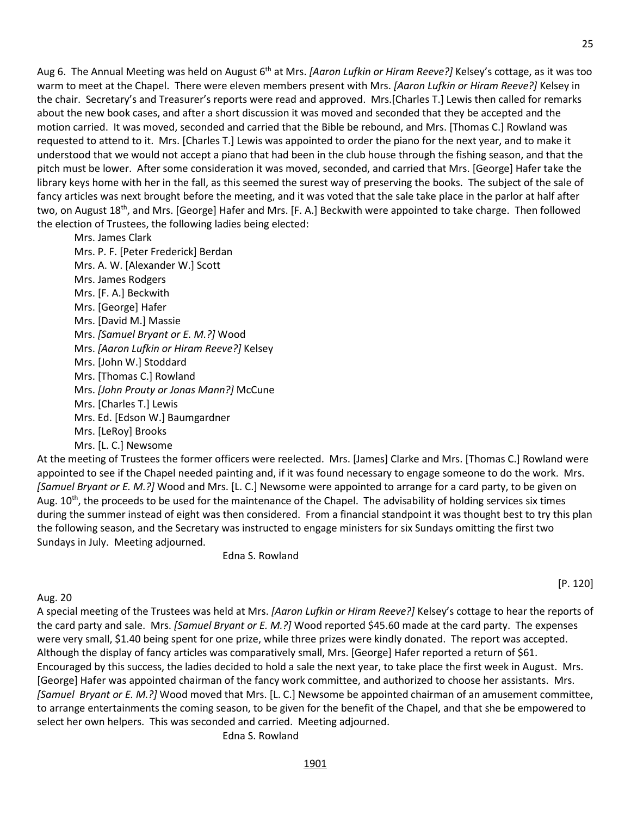Aug 6. The Annual Meeting was held on August 6th at Mrs. *[Aaron Lufkin or Hiram Reeve?]* Kelsey's cottage, as it was too warm to meet at the Chapel. There were eleven members present with Mrs. *[Aaron Lufkin or Hiram Reeve?]* Kelsey in the chair. Secretary's and Treasurer's reports were read and approved. Mrs.[Charles T.] Lewis then called for remarks about the new book cases, and after a short discussion it was moved and seconded that they be accepted and the motion carried. It was moved, seconded and carried that the Bible be rebound, and Mrs. [Thomas C.] Rowland was requested to attend to it. Mrs. [Charles T.] Lewis was appointed to order the piano for the next year, and to make it understood that we would not accept a piano that had been in the club house through the fishing season, and that the pitch must be lower. After some consideration it was moved, seconded, and carried that Mrs. [George] Hafer take the library keys home with her in the fall, as this seemed the surest way of preserving the books. The subject of the sale of fancy articles was next brought before the meeting, and it was voted that the sale take place in the parlor at half after two, on August 18<sup>th</sup>, and Mrs. [George] Hafer and Mrs. [F. A.] Beckwith were appointed to take charge. Then followed the election of Trustees, the following ladies being elected:

Mrs. James Clark Mrs. P. F. [Peter Frederick] Berdan Mrs. A. W. [Alexander W.] Scott Mrs. James Rodgers Mrs. [F. A.] Beckwith Mrs. [George] Hafer Mrs. [David M.] Massie Mrs. *[Samuel Bryant or E. M.?]* Wood Mrs. *[Aaron Lufkin or Hiram Reeve?]* Kelsey Mrs. [John W.] Stoddard Mrs. [Thomas C.] Rowland Mrs. *[John Prouty or Jonas Mann?]* McCune Mrs. [Charles T.] Lewis Mrs. Ed. [Edson W.] Baumgardner Mrs. [LeRoy] Brooks Mrs. [L. C.] Newsome

At the meeting of Trustees the former officers were reelected. Mrs. [James] Clarke and Mrs. [Thomas C.] Rowland were appointed to see if the Chapel needed painting and, if it was found necessary to engage someone to do the work. Mrs. *[Samuel Bryant or E. M.?]* Wood and Mrs. [L. C.] Newsome were appointed to arrange for a card party, to be given on Aug.  $10<sup>th</sup>$ , the proceeds to be used for the maintenance of the Chapel. The advisability of holding services six times during the summer instead of eight was then considered. From a financial standpoint it was thought best to try this plan the following season, and the Secretary was instructed to engage ministers for six Sundays omitting the first two Sundays in July. Meeting adjourned.

Edna S. Rowland

Aug. 20

A special meeting of the Trustees was held at Mrs. *[Aaron Lufkin or Hiram Reeve?]* Kelsey's cottage to hear the reports of the card party and sale. Mrs. *[Samuel Bryant or E. M.?]* Wood reported \$45.60 made at the card party. The expenses were very small, \$1.40 being spent for one prize, while three prizes were kindly donated. The report was accepted. Although the display of fancy articles was comparatively small, Mrs. [George] Hafer reported a return of \$61. Encouraged by this success, the ladies decided to hold a sale the next year, to take place the first week in August. Mrs. [George] Hafer was appointed chairman of the fancy work committee, and authorized to choose her assistants. Mrs. *[Samuel Bryant or E. M.?]* Wood moved that Mrs. [L. C.] Newsome be appointed chairman of an amusement committee, to arrange entertainments the coming season, to be given for the benefit of the Chapel, and that she be empowered to select her own helpers. This was seconded and carried. Meeting adjourned.

Edna S. Rowland

[P. 120]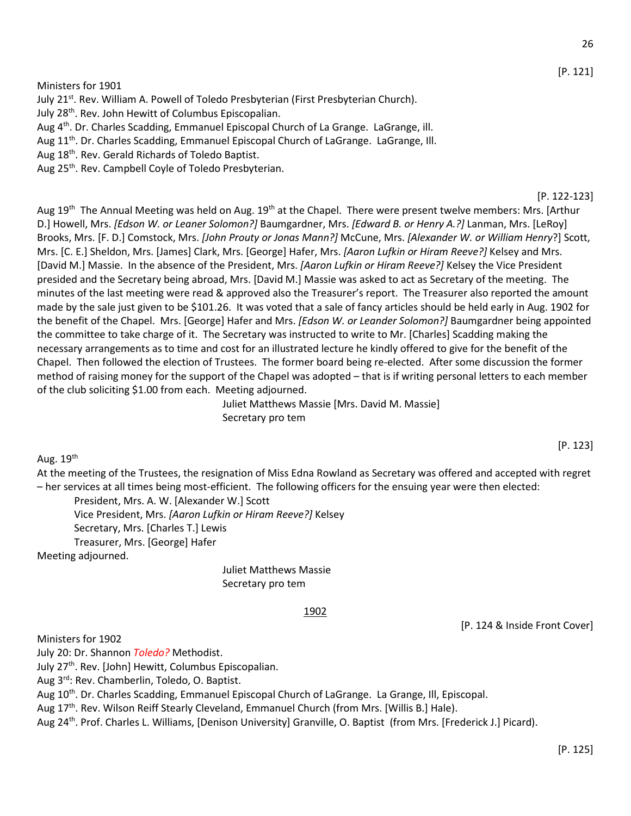Ministers for 1901

July 21<sup>st</sup>. Rev. William A. Powell of Toledo Presbyterian (First Presbyterian Church).

July 28<sup>th</sup>. Rev. John Hewitt of Columbus Episcopalian.

Aug 4<sup>th</sup>. Dr. Charles Scadding, Emmanuel Episcopal Church of La Grange. LaGrange, ill.

Aug 11<sup>th</sup>. Dr. Charles Scadding, Emmanuel Episcopal Church of LaGrange. LaGrange, III.

Aug 18th. Rev. Gerald Richards of Toledo Baptist.

Aug 25<sup>th</sup>. Rev. Campbell Coyle of Toledo Presbyterian.

#### [P. 122-123]

[P. 123]

Aug 19<sup>th</sup> The Annual Meeting was held on Aug. 19<sup>th</sup> at the Chapel. There were present twelve members: Mrs. [Arthur D.] Howell, Mrs. *[Edson W. or Leaner Solomon?]* Baumgardner, Mrs. *[Edward B. or Henry A.?]* Lanman, Mrs. [LeRoy] Brooks, Mrs. [F. D.] Comstock, Mrs. *[John Prouty or Jonas Mann?]* McCune, Mrs. *[Alexander W. or William Henry*?] Scott, Mrs. [C. E.] Sheldon, Mrs. [James] Clark, Mrs. [George] Hafer, Mrs. *[Aaron Lufkin or Hiram Reeve?]* Kelsey and Mrs. [David M.] Massie. In the absence of the President, Mrs. *[Aaron Lufkin or Hiram Reeve?]* Kelsey the Vice President presided and the Secretary being abroad, Mrs. [David M.] Massie was asked to act as Secretary of the meeting. The minutes of the last meeting were read & approved also the Treasurer's report. The Treasurer also reported the amount made by the sale just given to be \$101.26. It was voted that a sale of fancy articles should be held early in Aug. 1902 for the benefit of the Chapel. Mrs. [George] Hafer and Mrs. *[Edson W. or Leander Solomon?]* Baumgardner being appointed the committee to take charge of it. The Secretary was instructed to write to Mr. [Charles] Scadding making the necessary arrangements as to time and cost for an illustrated lecture he kindly offered to give for the benefit of the Chapel. Then followed the election of Trustees. The former board being re-elected. After some discussion the former method of raising money for the support of the Chapel was adopted – that is if writing personal letters to each member of the club soliciting \$1.00 from each. Meeting adjourned.

> Juliet Matthews Massie [Mrs. David M. Massie] Secretary pro tem

Aug.  $19<sup>th</sup>$ 

At the meeting of the Trustees, the resignation of Miss Edna Rowland as Secretary was offered and accepted with regret – her services at all times being most-efficient. The following officers for the ensuing year were then elected:

President, Mrs. A. W. [Alexander W.] Scott

Vice President, Mrs. *[Aaron Lufkin or Hiram Reeve?]* Kelsey

Secretary, Mrs. [Charles T.] Lewis

Treasurer, Mrs. [George] Hafer

Meeting adjourned.

Juliet Matthews Massie Secretary pro tem

#### 1902

[P. 124 & Inside Front Cover]

Ministers for 1902

July 20: Dr. Shannon *Toledo?* Methodist.

July 27<sup>th</sup>. Rev. [John] Hewitt, Columbus Episcopalian.

Aug 3rd: Rev. Chamberlin, Toledo, O. Baptist.

Aug 10<sup>th</sup>. Dr. Charles Scadding, Emmanuel Episcopal Church of LaGrange. La Grange, III, Episcopal.

Aug 17<sup>th</sup>. Rev. Wilson Reiff Stearly Cleveland, Emmanuel Church (from Mrs. [Willis B.] Hale).

Aug 24<sup>th</sup>. Prof. Charles L. Williams, [Denison University] Granville, O. Baptist (from Mrs. [Frederick J.] Picard).

[P. 121]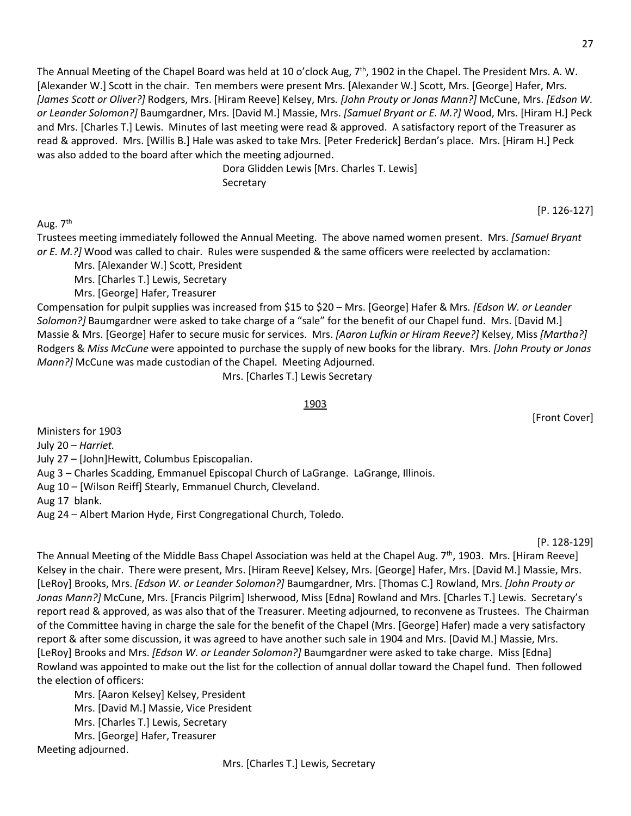The Annual Meeting of the Chapel Board was held at 10 o'clock Aug, 7<sup>th</sup>, 1902 in the Chapel. The President Mrs. A. W. [Alexander W.] Scott in the chair. Ten members were present Mrs. [Alexander W.] Scott, Mrs. [George] Hafer, Mrs. *[James Scott or Oliver?]* Rodgers, Mrs. [Hiram Reeve] Kelsey, Mrs*. [John Prouty or Jonas Mann?]* McCune, Mrs. *[Edson W. or Leander Solomon?]* Baumgardner, Mrs. [David M.] Massie, Mrs. *[Samuel Bryant or E. M.?]* Wood, Mrs. [Hiram H.] Peck and Mrs. [Charles T.] Lewis. Minutes of last meeting were read & approved. A satisfactory report of the Treasurer as read & approved. Mrs. [Willis B.] Hale was asked to take Mrs. [Peter Frederick] Berdan's place. Mrs. [Hiram H.] Peck was also added to the board after which the meeting adjourned.

> Dora Glidden Lewis [Mrs. Charles T. Lewis] **Secretary**

Aug. 7<sup>th</sup>

Trustees meeting immediately followed the Annual Meeting. The above named women present. Mrs. *[Samuel Bryant or E. M.?]* Wood was called to chair. Rules were suspended & the same officers were reelected by acclamation:

Mrs. [Alexander W.] Scott, President

Mrs. [Charles T.] Lewis, Secretary

Mrs. [George] Hafer, Treasurer

Compensation for pulpit supplies was increased from \$15 to \$20 – Mrs. [George] Hafer & Mrs*. [Edson W. or Leander Solomon?]* Baumgardner were asked to take charge of a "sale" for the benefit of our Chapel fund. Mrs. [David M.] Massie & Mrs. [George] Hafer to secure music for services. Mrs. *[Aaron Lufkin or Hiram Reeve?]* Kelsey, Miss *[Martha?]* Rodgers & *Miss McCune* were appointed to purchase the supply of new books for the library. Mrs. *[John Prouty or Jonas Mann?]* McCune was made custodian of the Chapel. Meeting Adjourned.

Mrs. [Charles T.] Lewis Secretary

### 1903

Ministers for 1903

July 20 – *Harriet.*

July 27 – [John]Hewitt, Columbus Episcopalian.

Aug 3 – Charles Scadding, Emmanuel Episcopal Church of LaGrange. LaGrange, Illinois.

Aug 10 – [Wilson Reiff] Stearly, Emmanuel Church, Cleveland.

Aug 17 blank.

Aug 24 – Albert Marion Hyde, First Congregational Church, Toledo.

[P. 128-129]

The Annual Meeting of the Middle Bass Chapel Association was held at the Chapel Aug. 7<sup>th</sup>, 1903. Mrs. [Hiram Reeve] Kelsey in the chair. There were present, Mrs. [Hiram Reeve] Kelsey, Mrs. [George] Hafer, Mrs. [David M.] Massie, Mrs. [LeRoy] Brooks, Mrs. *[Edson W. or Leander Solomon?]* Baumgardner, Mrs. [Thomas C.] Rowland, Mrs. *[John Prouty or Jonas Mann?]* McCune, Mrs. [Francis Pilgrim] Isherwood, Miss [Edna] Rowland and Mrs. [Charles T.] Lewis. Secretary's report read & approved, as was also that of the Treasurer. Meeting adjourned, to reconvene as Trustees. The Chairman of the Committee having in charge the sale for the benefit of the Chapel (Mrs. [George] Hafer) made a very satisfactory report & after some discussion, it was agreed to have another such sale in 1904 and Mrs. [David M.] Massie, Mrs. [LeRoy] Brooks and Mrs. *[Edson W. or Leander Solomon?]* Baumgardner were asked to take charge. Miss [Edna] Rowland was appointed to make out the list for the collection of annual dollar toward the Chapel fund. Then followed the election of officers:

Mrs. [Aaron Kelsey] Kelsey, President Mrs. [David M.] Massie, Vice President Mrs. [Charles T.] Lewis, Secretary Mrs. [George] Hafer, Treasurer Meeting adjourned.

[Front Cover]

[P. 126-127]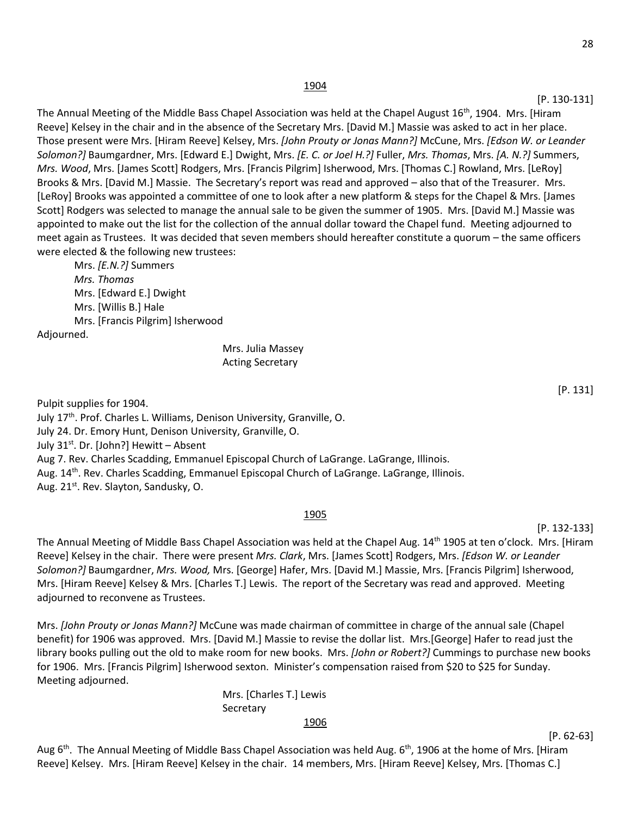#### 1904

#### [P. 130-131]

The Annual Meeting of the Middle Bass Chapel Association was held at the Chapel August 16<sup>th</sup>, 1904. Mrs. [Hiram Reeve] Kelsey in the chair and in the absence of the Secretary Mrs. [David M.] Massie was asked to act in her place. Those present were Mrs. [Hiram Reeve] Kelsey, Mrs. *[John Prouty or Jonas Mann?]* McCune, Mrs. *[Edson W. or Leander Solomon?]* Baumgardner, Mrs. [Edward E.] Dwight, Mrs. *[E. C. or Joel H.?]* Fuller, *Mrs. Thomas*, Mrs. *[A. N.?]* Summers, *Mrs. Wood*, Mrs. [James Scott] Rodgers, Mrs. [Francis Pilgrim] Isherwood, Mrs. [Thomas C.] Rowland, Mrs. [LeRoy] Brooks & Mrs. [David M.] Massie. The Secretary's report was read and approved – also that of the Treasurer. Mrs. [LeRoy] Brooks was appointed a committee of one to look after a new platform & steps for the Chapel & Mrs. [James Scott] Rodgers was selected to manage the annual sale to be given the summer of 1905. Mrs. [David M.] Massie was appointed to make out the list for the collection of the annual dollar toward the Chapel fund. Meeting adjourned to meet again as Trustees. It was decided that seven members should hereafter constitute a quorum – the same officers were elected & the following new trustees:

Mrs. *[E.N.?]* Summers *Mrs. Thomas* Mrs. [Edward E.] Dwight Mrs. [Willis B.] Hale Mrs. [Francis Pilgrim] Isherwood Adjourned.

### Mrs. Julia Massey Acting Secretary

Pulpit supplies for 1904. July 17th. Prof. Charles L. Williams, Denison University, Granville, O. July 24. Dr. Emory Hunt, Denison University, Granville, O. July 31st. Dr. [John?] Hewitt – Absent Aug 7. Rev. Charles Scadding, Emmanuel Episcopal Church of LaGrange. LaGrange, Illinois. Aug. 14<sup>th</sup>. Rev. Charles Scadding, Emmanuel Episcopal Church of LaGrange. LaGrange, Illinois. Aug. 21<sup>st</sup>. Rev. Slayton, Sandusky, O.

#### 1905

The Annual Meeting of Middle Bass Chapel Association was held at the Chapel Aug. 14<sup>th</sup> 1905 at ten o'clock. Mrs. [Hiram Reeve] Kelsey in the chair. There were present *Mrs. Clark*, Mrs. [James Scott] Rodgers, Mrs. *[Edson W. or Leander Solomon?]* Baumgardner, *Mrs. Wood,* Mrs. [George] Hafer, Mrs. [David M.] Massie, Mrs. [Francis Pilgrim] Isherwood, Mrs. [Hiram Reeve] Kelsey & Mrs. [Charles T.] Lewis. The report of the Secretary was read and approved. Meeting adjourned to reconvene as Trustees.

Mrs. *[John Prouty or Jonas Mann?]* McCune was made chairman of committee in charge of the annual sale (Chapel benefit) for 1906 was approved. Mrs. [David M.] Massie to revise the dollar list. Mrs.[George] Hafer to read just the library books pulling out the old to make room for new books. Mrs. *[John or Robert?]* Cummings to purchase new books for 1906. Mrs. [Francis Pilgrim] Isherwood sexton. Minister's compensation raised from \$20 to \$25 for Sunday. Meeting adjourned.

> Mrs. [Charles T.] Lewis **Secretary**

#### 1906

Aug  $6<sup>th</sup>$ . The Annual Meeting of Middle Bass Chapel Association was held Aug.  $6<sup>th</sup>$ , 1906 at the home of Mrs. [Hiram Reeve] Kelsey. Mrs. [Hiram Reeve] Kelsey in the chair. 14 members, Mrs. [Hiram Reeve] Kelsey, Mrs. [Thomas C.]

[P. 131]

[P. 132-133]

[P. 62-63]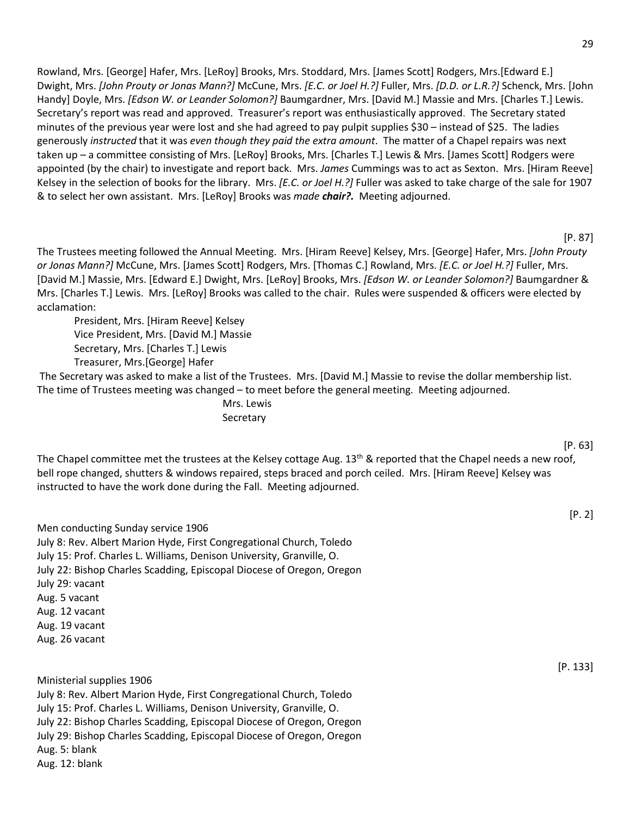Rowland, Mrs. [George] Hafer, Mrs. [LeRoy] Brooks, Mrs. Stoddard, Mrs. [James Scott] Rodgers, Mrs.[Edward E.] Dwight, Mrs. *[John Prouty or Jonas Mann?]* McCune, Mrs. *[E.C. or Joel H.?]* Fuller, Mrs. *[D.D. or L.R.?]* Schenck, Mrs. [John Handy] Doyle, Mrs. *[Edson W. or Leander Solomon?]* Baumgardner, Mrs. [David M.] Massie and Mrs. [Charles T.] Lewis. Secretary's report was read and approved. Treasurer's report was enthusiastically approved. The Secretary stated minutes of the previous year were lost and she had agreed to pay pulpit supplies \$30 – instead of \$25.The ladies generously *instructed* that it was *even though they paid the extra amount*.The matter of a Chapel repairs was next taken up – a committee consisting of Mrs. [LeRoy] Brooks, Mrs. [Charles T.] Lewis & Mrs. [James Scott] Rodgers were appointed (by the chair) to investigate and report back. Mrs. *James* Cummings was to act as Sexton.Mrs. [Hiram Reeve] Kelsey in the selection of books for the library. Mrs. *[E.C. or Joel H.?]* Fuller was asked to take charge of the sale for 1907 & to select her own assistant. Mrs. [LeRoy] Brooks was *made chair?.*Meeting adjourned.

#### [P. 87]

The Trustees meeting followed the Annual Meeting. Mrs. [Hiram Reeve] Kelsey, Mrs. [George] Hafer, Mrs. *[John Prouty or Jonas Mann?]* McCune, Mrs. [James Scott] Rodgers, Mrs. [Thomas C.] Rowland, Mrs. *[E.C. or Joel H.?]* Fuller, Mrs. [David M.] Massie, Mrs. [Edward E.] Dwight, Mrs. [LeRoy] Brooks, Mrs. *[Edson W. or Leander Solomon?]* Baumgardner & Mrs. [Charles T.] Lewis. Mrs. [LeRoy] Brooks was called to the chair. Rules were suspended & officers were elected by acclamation:

President, Mrs. [Hiram Reeve] Kelsey Vice President, Mrs. [David M.] Massie Secretary, Mrs. [Charles T.] Lewis Treasurer, Mrs.[George] Hafer

The Secretary was asked to make a list of the Trustees. Mrs. [David M.] Massie to revise the dollar membership list. The time of Trustees meeting was changed – to meet before the general meeting. Meeting adjourned.

> Mrs. Lewis **Secretary**

The Chapel committee met the trustees at the Kelsey cottage Aug. 13<sup>th</sup> & reported that the Chapel needs a new roof, bell rope changed, shutters & windows repaired, steps braced and porch ceiled. Mrs. [Hiram Reeve] Kelsey was instructed to have the work done during the Fall. Meeting adjourned.

Men conducting Sunday service 1906 July 8: Rev. Albert Marion Hyde, First Congregational Church, Toledo July 15: Prof. Charles L. Williams, Denison University, Granville, O. July 22: Bishop Charles Scadding, Episcopal Diocese of Oregon, Oregon July 29: vacant Aug. 5 vacant Aug. 12 vacant Aug. 19 vacant Aug. 26 vacant

Ministerial supplies 1906 July 8: Rev. Albert Marion Hyde, First Congregational Church, Toledo July 15: Prof. Charles L. Williams, Denison University, Granville, O. July 22: Bishop Charles Scadding, Episcopal Diocese of Oregon, Oregon July 29: Bishop Charles Scadding, Episcopal Diocese of Oregon, Oregon Aug. 5: blank Aug. 12: blank

[P. 63]

[P. 2]

[P. 133]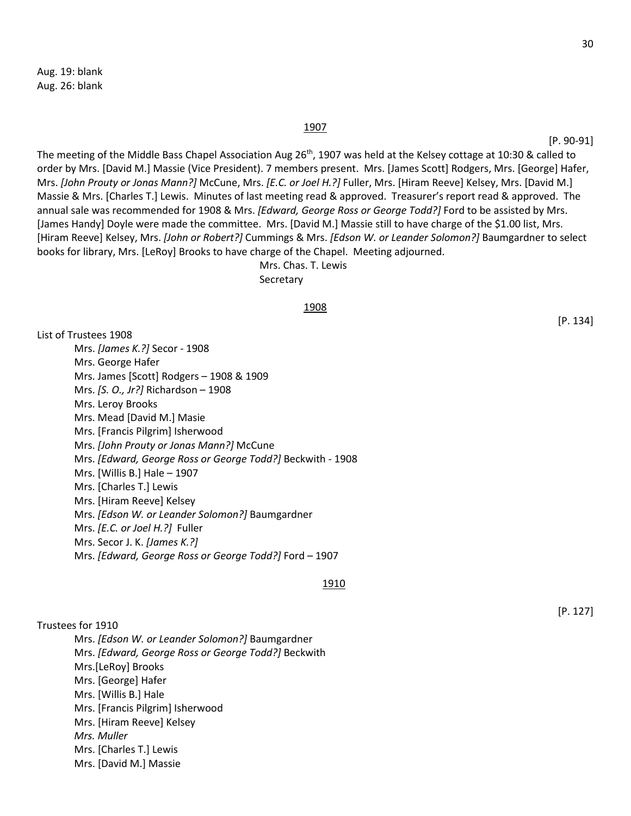Aug. 19: blank Aug. 26: blank

#### 1907

[P. 90-91]

The meeting of the Middle Bass Chapel Association Aug 26<sup>th</sup>, 1907 was held at the Kelsey cottage at 10:30 & called to order by Mrs. [David M.] Massie (Vice President). 7 members present. Mrs. [James Scott] Rodgers, Mrs. [George] Hafer, Mrs. *[John Prouty or Jonas Mann?]* McCune, Mrs. *[E.C. or Joel H.?]* Fuller, Mrs. [Hiram Reeve] Kelsey, Mrs. [David M.] Massie & Mrs. [Charles T.] Lewis. Minutes of last meeting read & approved. Treasurer's report read & approved. The annual sale was recommended for 1908 & Mrs. *[Edward, George Ross or George Todd?]* Ford to be assisted by Mrs. [James Handy] Doyle were made the committee. Mrs. [David M.] Massie still to have charge of the \$1.00 list, Mrs. [Hiram Reeve] Kelsey, Mrs. *[John or Robert?]* Cummings & Mrs. *[Edson W. or Leander Solomon?]* Baumgardner to select books for library, Mrs. [LeRoy] Brooks to have charge of the Chapel. Meeting adjourned. Mrs. Chas. T. Lewis

Secretary

#### 1908

List of Trustees 1908 Mrs. *[James K.?]* Secor - 1908 Mrs. George Hafer Mrs. James [Scott] Rodgers – 1908 & 1909 Mrs. *[S. O., Jr?]* Richardson – 1908 Mrs. Leroy Brooks Mrs. Mead [David M.] Masie Mrs. [Francis Pilgrim] Isherwood Mrs. *[John Prouty or Jonas Mann?]* McCune Mrs. *[Edward, George Ross or George Todd?]* Beckwith - 1908 Mrs. [Willis B.] Hale – 1907 Mrs. [Charles T.] Lewis Mrs. [Hiram Reeve] Kelsey Mrs. *[Edson W. or Leander Solomon?]* Baumgardner Mrs. *[E.C. or Joel H.?]* Fuller Mrs. Secor J. K. *[James K.?]* Mrs. *[Edward, George Ross or George Todd?]* Ford – 1907

#### 1910

Trustees for 1910

Mrs. *[Edson W. or Leander Solomon?]* Baumgardner Mrs. *[Edward, George Ross or George Todd?]* Beckwith Mrs.[LeRoy] Brooks Mrs. [George] Hafer Mrs. [Willis B.] Hale Mrs. [Francis Pilgrim] Isherwood Mrs. [Hiram Reeve] Kelsey *Mrs. Muller* Mrs. [Charles T.] Lewis Mrs. [David M.] Massie

[P. 134]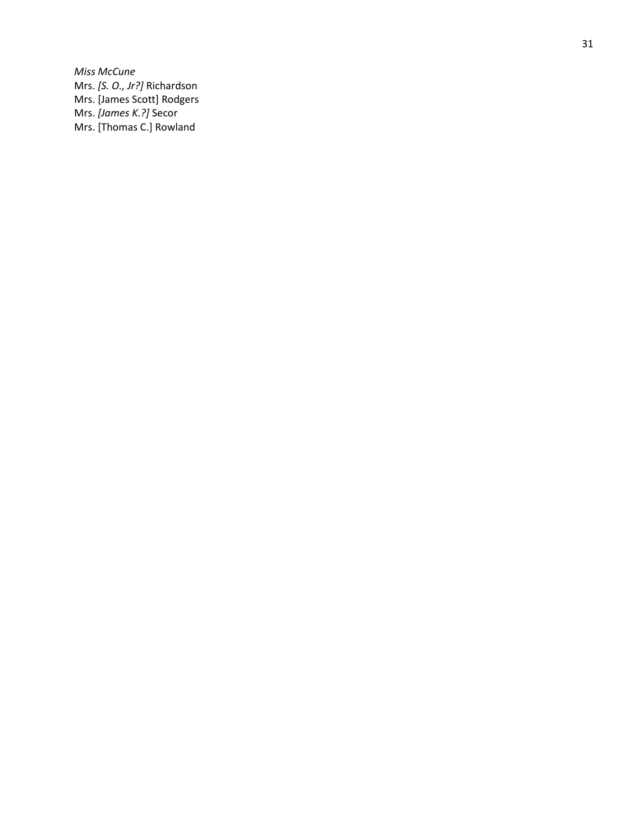*Miss McCune* Mrs. *[S. O., Jr?]* Richardson Mrs. [James Scott] Rodgers Mrs. *[James K.?]* Secor Mrs. [Thomas C.] Rowland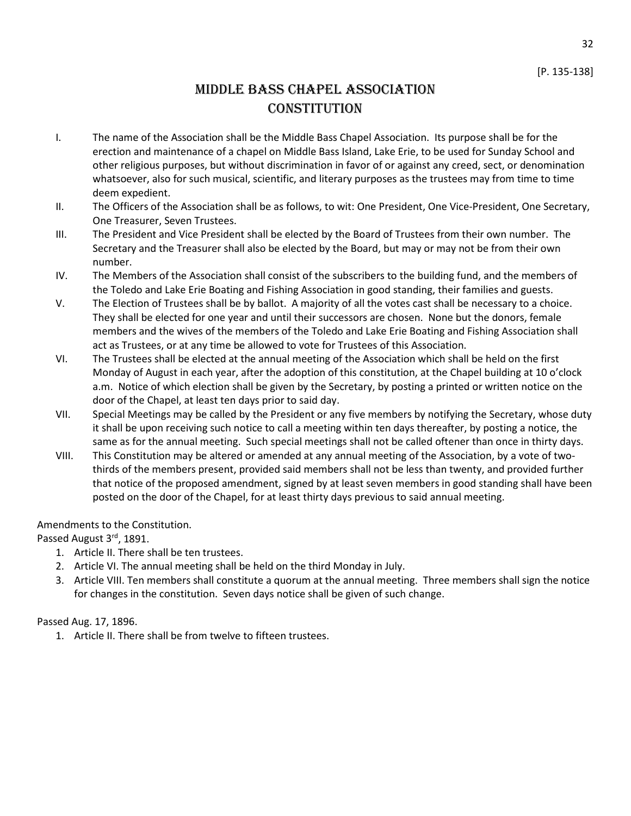32

# Middle Bass Chapel Association **CONSTITUTION**

- I. The name of the Association shall be the Middle Bass Chapel Association. Its purpose shall be for the erection and maintenance of a chapel on Middle Bass Island, Lake Erie, to be used for Sunday School and other religious purposes, but without discrimination in favor of or against any creed, sect, or denomination whatsoever, also for such musical, scientific, and literary purposes as the trustees may from time to time deem expedient.
- II. The Officers of the Association shall be as follows, to wit: One President, One Vice-President, One Secretary, One Treasurer, Seven Trustees.
- III. The President and Vice President shall be elected by the Board of Trustees from their own number. The Secretary and the Treasurer shall also be elected by the Board, but may or may not be from their own number.
- IV. The Members of the Association shall consist of the subscribers to the building fund, and the members of the Toledo and Lake Erie Boating and Fishing Association in good standing, their families and guests.
- V. The Election of Trustees shall be by ballot. A majority of all the votes cast shall be necessary to a choice. They shall be elected for one year and until their successors are chosen. None but the donors, female members and the wives of the members of the Toledo and Lake Erie Boating and Fishing Association shall act as Trustees, or at any time be allowed to vote for Trustees of this Association.
- VI. The Trustees shall be elected at the annual meeting of the Association which shall be held on the first Monday of August in each year, after the adoption of this constitution, at the Chapel building at 10 o'clock a.m. Notice of which election shall be given by the Secretary, by posting a printed or written notice on the door of the Chapel, at least ten days prior to said day.
- VII. Special Meetings may be called by the President or any five members by notifying the Secretary, whose duty it shall be upon receiving such notice to call a meeting within ten days thereafter, by posting a notice, the same as for the annual meeting. Such special meetings shall not be called oftener than once in thirty days.
- VIII. This Constitution may be altered or amended at any annual meeting of the Association, by a vote of twothirds of the members present, provided said members shall not be less than twenty, and provided further that notice of the proposed amendment, signed by at least seven members in good standing shall have been posted on the door of the Chapel, for at least thirty days previous to said annual meeting.

### Amendments to the Constitution.

Passed August 3rd, 1891.

- 1. Article II. There shall be ten trustees.
- 2. Article VI. The annual meeting shall be held on the third Monday in July.
- 3. Article VIII. Ten members shall constitute a quorum at the annual meeting. Three members shall sign the notice for changes in the constitution. Seven days notice shall be given of such change.

### Passed Aug. 17, 1896.

1. Article II. There shall be from twelve to fifteen trustees.